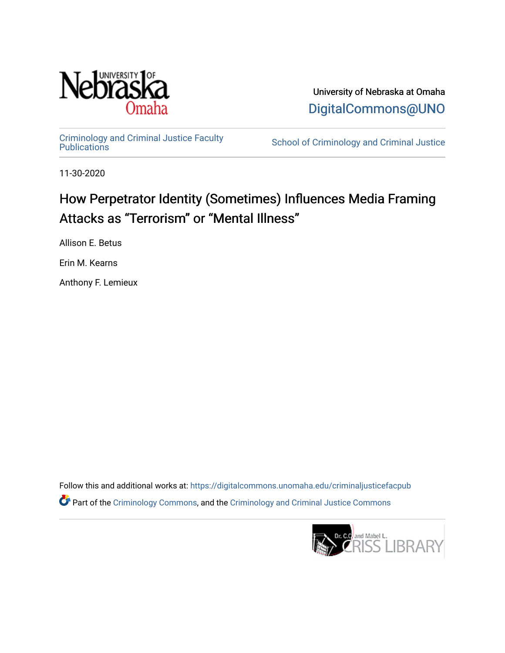

University of Nebraska at Omaha [DigitalCommons@UNO](https://digitalcommons.unomaha.edu/) 

[Criminology and Criminal Justice Faculty](https://digitalcommons.unomaha.edu/criminaljusticefacpub)

School of Criminology and Criminal Justice

11-30-2020

## How Perpetrator Identity (Sometimes) Influences Media Framing Attacks as "Terrorism" or "Mental Illness"

Allison E. Betus

Erin M. Kearns

Anthony F. Lemieux

Follow this and additional works at: [https://digitalcommons.unomaha.edu/criminaljusticefacpub](https://digitalcommons.unomaha.edu/criminaljusticefacpub?utm_source=digitalcommons.unomaha.edu%2Fcriminaljusticefacpub%2F114&utm_medium=PDF&utm_campaign=PDFCoverPages)  Part of the [Criminology Commons](https://network.bepress.com/hgg/discipline/417?utm_source=digitalcommons.unomaha.edu%2Fcriminaljusticefacpub%2F114&utm_medium=PDF&utm_campaign=PDFCoverPages), and the [Criminology and Criminal Justice Commons](https://network.bepress.com/hgg/discipline/367?utm_source=digitalcommons.unomaha.edu%2Fcriminaljusticefacpub%2F114&utm_medium=PDF&utm_campaign=PDFCoverPages)

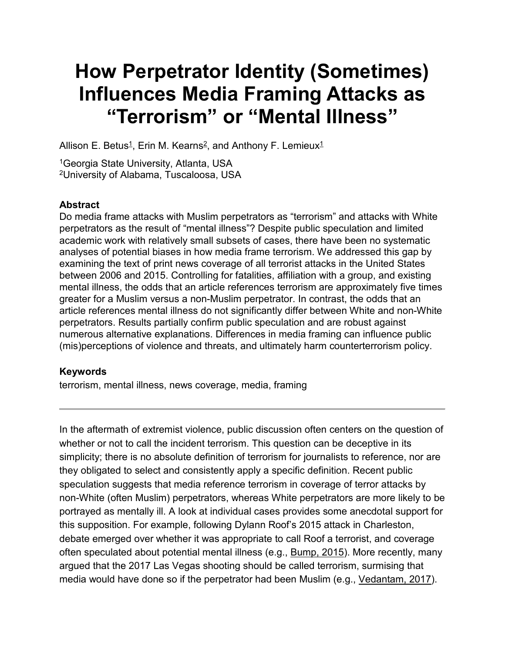# **How Perpetrator Identity (Sometimes) Influences Media Framing Attacks as "Terrorism" or "Mental Illness"**

Allison E. Betus<sup>1</sup>, Erin M. Kearns<sup>2</sup>, and Anthony F. Lemieux<sup>1</sup>

1Georgia State University, Atlanta, USA 2University of Alabama, Tuscaloosa, USA

#### **Abstract**

Do media frame attacks with Muslim perpetrators as "terrorism" and attacks with White perpetrators as the result of "mental illness"? Despite public speculation and limited academic work with relatively small subsets of cases, there have been no systematic analyses of potential biases in how media frame terrorism. We addressed this gap by examining the text of print news coverage of all terrorist attacks in the United States between 2006 and 2015. Controlling for fatalities, affiliation with a group, and existing mental illness, the odds that an article references terrorism are approximately five times greater for a Muslim versus a non-Muslim perpetrator. In contrast, the odds that an article references mental illness do not significantly differ between White and non-White perpetrators. Results partially confirm public speculation and are robust against numerous alternative explanations. Differences in media framing can influence public (mis)perceptions of violence and threats, and ultimately harm counterterrorism policy.

#### **Keywords**

terrorism, mental illness, news coverage, media, framing

In the aftermath of extremist violence, public discussion often centers on the question of whether or not to call the incident terrorism. This question can be deceptive in its simplicity; there is no absolute definition of terrorism for journalists to reference, nor are they obligated to select and consistently apply a specific definition. Recent public speculation suggests that media reference terrorism in coverage of terror attacks by non-White (often Muslim) perpetrators, whereas White perpetrators are more likely to be portrayed as mentally ill. A look at individual cases provides some anecdotal support for this supposition. For example, following Dylann Roof's 2015 attack in Charleston, debate emerged over whether it was appropriate to call Roof a terrorist, and coverage often speculated about potential mental illness (e.g., [Bump, 2015\)](https://journals.sagepub.com/reader/content/17d3fedb3b0/10.1177/0093650220971142/format/epub/EPUB/xhtml/index.xhtml#bibr9-0093650220971142). More recently, many argued that the 2017 Las Vegas shooting should be called terrorism, surmising that media would have done so if the perpetrator had been Muslim (e.g., [Vedantam, 2017\)](https://journals.sagepub.com/reader/content/17d3fedb3b0/10.1177/0093650220971142/format/epub/EPUB/xhtml/index.xhtml#bibr57-0093650220971142).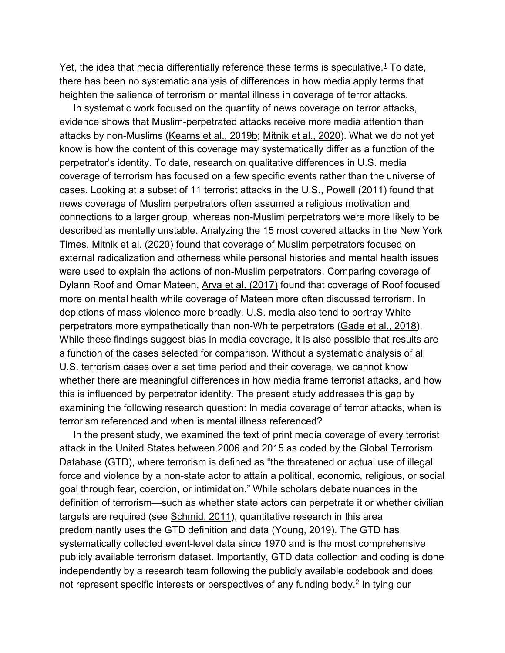Yet, the idea that media differentially reference these terms is speculative.<sup>1</sup> To date, there has been no systematic analysis of differences in how media apply terms that heighten the salience of terrorism or mental illness in coverage of terror attacks.

In systematic work focused on the quantity of news coverage on terror attacks, evidence shows that Muslim-perpetrated attacks receive more media attention than attacks by non-Muslims [\(Kearns et al., 2019b;](https://journals.sagepub.com/reader/content/17d3fedb3b0/10.1177/0093650220971142/format/epub/EPUB/xhtml/index.xhtml#bibr31-0093650220971142) [Mitnik et al., 2020\)](https://journals.sagepub.com/reader/content/17d3fedb3b0/10.1177/0093650220971142/format/epub/EPUB/xhtml/index.xhtml#bibr38-0093650220971142). What we do not yet know is how the content of this coverage may systematically differ as a function of the perpetrator's identity. To date, research on qualitative differences in U.S. media coverage of terrorism has focused on a few specific events rather than the universe of cases. Looking at a subset of 11 terrorist attacks in the U.S., [Powell \(2011\)](https://journals.sagepub.com/reader/content/17d3fedb3b0/10.1177/0093650220971142/format/epub/EPUB/xhtml/index.xhtml#bibr45-0093650220971142) found that news coverage of Muslim perpetrators often assumed a religious motivation and connections to a larger group, whereas non-Muslim perpetrators were more likely to be described as mentally unstable. Analyzing the 15 most covered attacks in the New York Times, [Mitnik et al. \(2020\)](https://journals.sagepub.com/reader/content/17d3fedb3b0/10.1177/0093650220971142/format/epub/EPUB/xhtml/index.xhtml#bibr38-0093650220971142) found that coverage of Muslim perpetrators focused on external radicalization and otherness while personal histories and mental health issues were used to explain the actions of non-Muslim perpetrators. Comparing coverage of Dylann Roof and Omar Mateen, [Arva et al. \(2017\)](https://journals.sagepub.com/reader/content/17d3fedb3b0/10.1177/0093650220971142/format/epub/EPUB/xhtml/index.xhtml#bibr4-0093650220971142) found that coverage of Roof focused more on mental health while coverage of Mateen more often discussed terrorism. In depictions of mass violence more broadly, U.S. media also tend to portray White perpetrators more sympathetically than non-White perpetrators [\(Gade et al., 2018\)](https://journals.sagepub.com/reader/content/17d3fedb3b0/10.1177/0093650220971142/format/epub/EPUB/xhtml/index.xhtml#bibr21-0093650220971142). While these findings suggest bias in media coverage, it is also possible that results are a function of the cases selected for comparison. Without a systematic analysis of all U.S. terrorism cases over a set time period and their coverage, we cannot know whether there are meaningful differences in how media frame terrorist attacks, and how this is influenced by perpetrator identity. The present study addresses this gap by examining the following research question: In media coverage of terror attacks, when is terrorism referenced and when is mental illness referenced?

In the present study, we examined the text of print media coverage of every terrorist attack in the United States between 2006 and 2015 as coded by the Global Terrorism Database (GTD), where terrorism is defined as "the threatened or actual use of illegal force and violence by a non-state actor to attain a political, economic, religious, or social goal through fear, coercion, or intimidation." While scholars debate nuances in the definition of terrorism—such as whether state actors can perpetrate it or whether civilian targets are required (see [Schmid, 2011\)](https://journals.sagepub.com/reader/content/17d3fedb3b0/10.1177/0093650220971142/format/epub/EPUB/xhtml/index.xhtml#bibr49-0093650220971142), quantitative research in this area predominantly uses the GTD definition and data [\(Young, 2019\)](https://journals.sagepub.com/reader/content/17d3fedb3b0/10.1177/0093650220971142/format/epub/EPUB/xhtml/index.xhtml#bibr60-0093650220971142). The GTD has systematically collected event-level data since 1970 and is the most comprehensive publicly available terrorism dataset. Importantly, GTD data collection and coding is done independently by a research team following the publicly available codebook and does not represent specific interests or perspectives of any funding body.<sup>2</sup> In tying our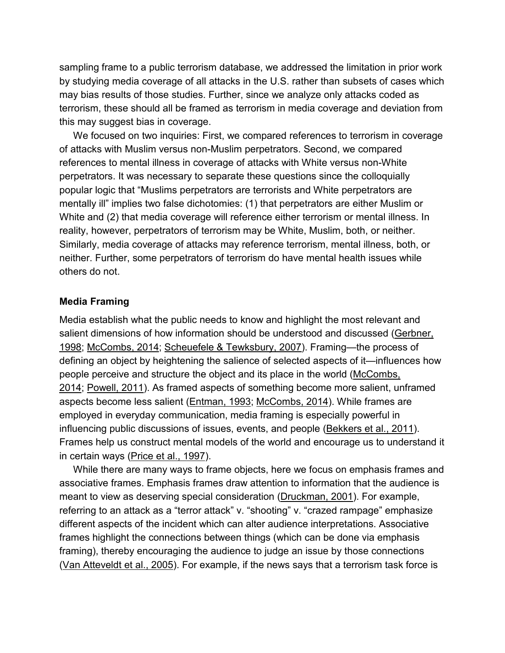sampling frame to a public terrorism database, we addressed the limitation in prior work by studying media coverage of all attacks in the U.S. rather than subsets of cases which may bias results of those studies. Further, since we analyze only attacks coded as terrorism, these should all be framed as terrorism in media coverage and deviation from this may suggest bias in coverage.

We focused on two inquiries: First, we compared references to terrorism in coverage of attacks with Muslim versus non-Muslim perpetrators. Second, we compared references to mental illness in coverage of attacks with White versus non-White perpetrators. It was necessary to separate these questions since the colloquially popular logic that "Muslims perpetrators are terrorists and White perpetrators are mentally ill" implies two false dichotomies: (1) that perpetrators are either Muslim or White and (2) that media coverage will reference either terrorism or mental illness. In reality, however, perpetrators of terrorism may be White, Muslim, both, or neither. Similarly, media coverage of attacks may reference terrorism, mental illness, both, or neither. Further, some perpetrators of terrorism do have mental health issues while others do not.

#### **Media Framing**

Media establish what the public needs to know and highlight the most relevant and salient dimensions of how information should be understood and discussed [\(Gerbner,](https://journals.sagepub.com/reader/content/17d3fedb3b0/10.1177/0093650220971142/format/epub/EPUB/xhtml/index.xhtml#bibr22-0093650220971142)  [1998;](https://journals.sagepub.com/reader/content/17d3fedb3b0/10.1177/0093650220971142/format/epub/EPUB/xhtml/index.xhtml#bibr22-0093650220971142) [McCombs, 2014;](https://journals.sagepub.com/reader/content/17d3fedb3b0/10.1177/0093650220971142/format/epub/EPUB/xhtml/index.xhtml#bibr36-0093650220971142) [Scheuefele & Tewksbury, 2007\)](https://journals.sagepub.com/reader/content/17d3fedb3b0/10.1177/0093650220971142/format/epub/EPUB/xhtml/index.xhtml#bibr48-0093650220971142). Framing—the process of defining an object by heightening the salience of selected aspects of it—influences how people perceive and structure the object and its place in the world [\(McCombs,](https://journals.sagepub.com/reader/content/17d3fedb3b0/10.1177/0093650220971142/format/epub/EPUB/xhtml/index.xhtml#bibr36-0093650220971142)  [2014;](https://journals.sagepub.com/reader/content/17d3fedb3b0/10.1177/0093650220971142/format/epub/EPUB/xhtml/index.xhtml#bibr36-0093650220971142) [Powell, 2011\)](https://journals.sagepub.com/reader/content/17d3fedb3b0/10.1177/0093650220971142/format/epub/EPUB/xhtml/index.xhtml#bibr45-0093650220971142). As framed aspects of something become more salient, unframed aspects become less salient [\(Entman, 1993;](https://journals.sagepub.com/reader/content/17d3fedb3b0/10.1177/0093650220971142/format/epub/EPUB/xhtml/index.xhtml#bibr20-0093650220971142) [McCombs, 2014\)](https://journals.sagepub.com/reader/content/17d3fedb3b0/10.1177/0093650220971142/format/epub/EPUB/xhtml/index.xhtml#bibr36-0093650220971142). While frames are employed in everyday communication, media framing is especially powerful in influencing public discussions of issues, events, and people [\(Bekkers et al., 2011\)](https://journals.sagepub.com/reader/content/17d3fedb3b0/10.1177/0093650220971142/format/epub/EPUB/xhtml/index.xhtml#bibr7-0093650220971142). Frames help us construct mental models of the world and encourage us to understand it in certain ways [\(Price et al., 1997\)](https://journals.sagepub.com/reader/content/17d3fedb3b0/10.1177/0093650220971142/format/epub/EPUB/xhtml/index.xhtml#bibr44-0093650220971142).

While there are many ways to frame objects, here we focus on emphasis frames and associative frames. Emphasis frames draw attention to information that the audience is meant to view as deserving special consideration [\(Druckman, 2001\)](https://journals.sagepub.com/reader/content/17d3fedb3b0/10.1177/0093650220971142/format/epub/EPUB/xhtml/index.xhtml#bibr18-0093650220971142). For example, referring to an attack as a "terror attack" v. "shooting" v. "crazed rampage" emphasize different aspects of the incident which can alter audience interpretations. Associative frames highlight the connections between things (which can be done via emphasis framing), thereby encouraging the audience to judge an issue by those connections [\(Van Atteveldt et al., 2005\)](https://journals.sagepub.com/reader/content/17d3fedb3b0/10.1177/0093650220971142/format/epub/EPUB/xhtml/index.xhtml#bibr56-0093650220971142). For example, if the news says that a terrorism task force is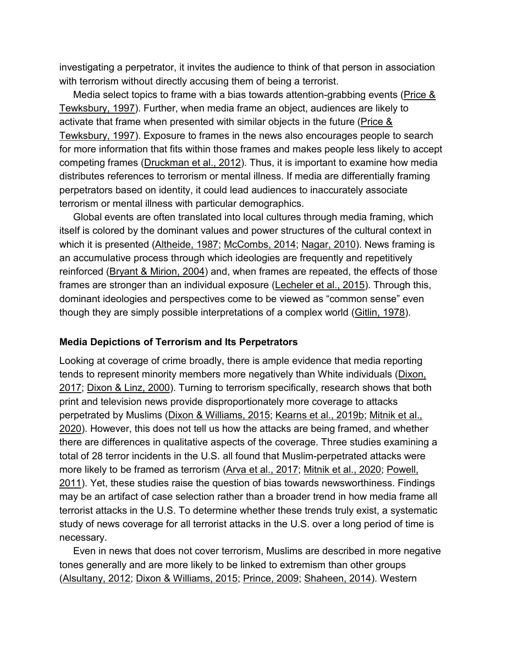investigating a perpetrator, it invites the audience to think of that person in association with terrorism without directly accusing them of being a terrorist.

Media select topics to frame with a bias towards attention-grabbing events (Price & [Tewksbury, 1997\)](https://journals.sagepub.com/reader/content/17d3fedb3b0/10.1177/0093650220971142/format/epub/EPUB/xhtml/index.xhtml#bibr43-0093650220971142). Further, when media frame an object, audiences are likely to activate that frame when presented with similar objects in the future (Price  $\&$ [Tewksbury, 1997\)](https://journals.sagepub.com/reader/content/17d3fedb3b0/10.1177/0093650220971142/format/epub/EPUB/xhtml/index.xhtml#bibr43-0093650220971142). Exposure to frames in the news also encourages people to search for more information that fits within those frames and makes people less likely to accept competing frames [\(Druckman et al., 2012\)](https://journals.sagepub.com/reader/content/17d3fedb3b0/10.1177/0093650220971142/format/epub/EPUB/xhtml/index.xhtml#bibr19-0093650220971142). Thus, it is important to examine how media distributes references to terrorism or mental illness. If media are differentially framing perpetrators based on identity, it could lead audiences to inaccurately associate terrorism or mental illness with particular demographics.

Global events are often translated into local cultures through media framing, which itself is colored by the dominant values and power structures of the cultural context in which it is presented [\(Altheide, 1987;](https://journals.sagepub.com/reader/content/17d3fedb3b0/10.1177/0093650220971142/format/epub/EPUB/xhtml/index.xhtml#bibr2-0093650220971142) [McCombs, 2014;](https://journals.sagepub.com/reader/content/17d3fedb3b0/10.1177/0093650220971142/format/epub/EPUB/xhtml/index.xhtml#bibr36-0093650220971142) [Nagar, 2010\)](https://journals.sagepub.com/reader/content/17d3fedb3b0/10.1177/0093650220971142/format/epub/EPUB/xhtml/index.xhtml#bibr40-0093650220971142). News framing is an accumulative process through which ideologies are frequently and repetitively reinforced [\(Bryant & Mirion, 2004\)](https://journals.sagepub.com/reader/content/17d3fedb3b0/10.1177/0093650220971142/format/epub/EPUB/xhtml/index.xhtml#bibr8-0093650220971142) and, when frames are repeated, the effects of those frames are stronger than an individual exposure [\(Lecheler et al., 2015\)](https://journals.sagepub.com/reader/content/17d3fedb3b0/10.1177/0093650220971142/format/epub/EPUB/xhtml/index.xhtml#bibr33-0093650220971142). Through this, dominant ideologies and perspectives come to be viewed as "common sense" even though they are simply possible interpretations of a complex world [\(Gitlin, 1978\)](https://journals.sagepub.com/reader/content/17d3fedb3b0/10.1177/0093650220971142/format/epub/EPUB/xhtml/index.xhtml#bibr24-0093650220971142).

#### **Media Depictions of Terrorism and Its Perpetrators**

Looking at coverage of crime broadly, there is ample evidence that media reporting tends to represent minority members more negatively than White individuals [\(Dixon,](https://journals.sagepub.com/reader/content/17d3fedb3b0/10.1177/0093650220971142/format/epub/EPUB/xhtml/index.xhtml#bibr14-0093650220971142)  [2017;](https://journals.sagepub.com/reader/content/17d3fedb3b0/10.1177/0093650220971142/format/epub/EPUB/xhtml/index.xhtml#bibr14-0093650220971142) [Dixon & Linz, 2000\)](https://journals.sagepub.com/reader/content/17d3fedb3b0/10.1177/0093650220971142/format/epub/EPUB/xhtml/index.xhtml#bibr15-0093650220971142). Turning to terrorism specifically, research shows that both print and television news provide disproportionately more coverage to attacks perpetrated by Muslims [\(Dixon & Williams, 2015;](https://journals.sagepub.com/reader/content/17d3fedb3b0/10.1177/0093650220971142/format/epub/EPUB/xhtml/index.xhtml#bibr16-0093650220971142) [Kearns et al., 2019b;](https://journals.sagepub.com/reader/content/17d3fedb3b0/10.1177/0093650220971142/format/epub/EPUB/xhtml/index.xhtml#bibr31-0093650220971142) [Mitnik et al.,](https://journals.sagepub.com/reader/content/17d3fedb3b0/10.1177/0093650220971142/format/epub/EPUB/xhtml/index.xhtml#bibr38-0093650220971142)  [2020\)](https://journals.sagepub.com/reader/content/17d3fedb3b0/10.1177/0093650220971142/format/epub/EPUB/xhtml/index.xhtml#bibr38-0093650220971142). However, this does not tell us how the attacks are being framed, and whether there are differences in qualitative aspects of the coverage. Three studies examining a total of 28 terror incidents in the U.S. all found that Muslim-perpetrated attacks were more likely to be framed as terrorism [\(Arva et al., 2017;](https://journals.sagepub.com/reader/content/17d3fedb3b0/10.1177/0093650220971142/format/epub/EPUB/xhtml/index.xhtml#bibr4-0093650220971142) [Mitnik et al., 2020;](https://journals.sagepub.com/reader/content/17d3fedb3b0/10.1177/0093650220971142/format/epub/EPUB/xhtml/index.xhtml#bibr38-0093650220971142) Powell, [2011\)](https://journals.sagepub.com/reader/content/17d3fedb3b0/10.1177/0093650220971142/format/epub/EPUB/xhtml/index.xhtml#bibr45-0093650220971142). Yet, these studies raise the question of bias towards newsworthiness. Findings may be an artifact of case selection rather than a broader trend in how media frame all terrorist attacks in the U.S. To determine whether these trends truly exist, a systematic study of news coverage for all terrorist attacks in the U.S. over a long period of time is necessary.

Even in news that does not cover terrorism, Muslims are described in more negative tones generally and are more likely to be linked to extremism than other groups [\(Alsultany, 2012;](https://journals.sagepub.com/reader/content/17d3fedb3b0/10.1177/0093650220971142/format/epub/EPUB/xhtml/index.xhtml#bibr1-0093650220971142) [Dixon & Williams, 2015;](https://journals.sagepub.com/reader/content/17d3fedb3b0/10.1177/0093650220971142/format/epub/EPUB/xhtml/index.xhtml#bibr16-0093650220971142) [Prince, 2009;](https://journals.sagepub.com/reader/content/17d3fedb3b0/10.1177/0093650220971142/format/epub/EPUB/xhtml/index.xhtml#bibr46-0093650220971142) [Shaheen, 2014\)](https://journals.sagepub.com/reader/content/17d3fedb3b0/10.1177/0093650220971142/format/epub/EPUB/xhtml/index.xhtml#bibr50-0093650220971142). Western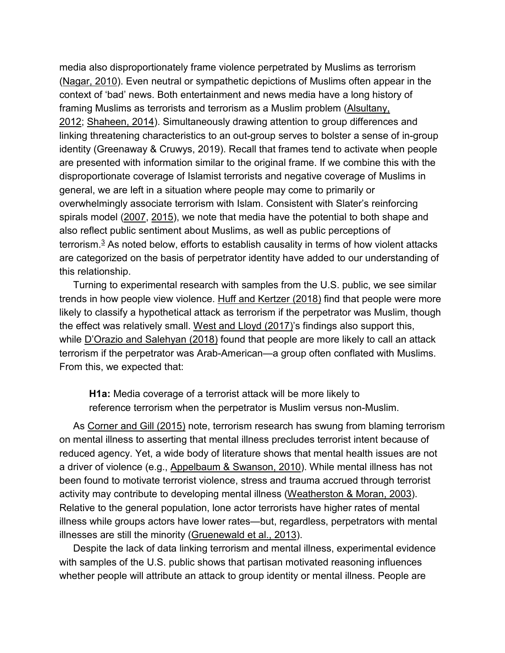media also disproportionately frame violence perpetrated by Muslims as terrorism [\(Nagar, 2010\)](https://journals.sagepub.com/reader/content/17d3fedb3b0/10.1177/0093650220971142/format/epub/EPUB/xhtml/index.xhtml#bibr40-0093650220971142). Even neutral or sympathetic depictions of Muslims often appear in the context of 'bad' news. Both entertainment and news media have a long history of framing Muslims as terrorists and terrorism as a Muslim problem (Alsultany, [2012;](https://journals.sagepub.com/reader/content/17d3fedb3b0/10.1177/0093650220971142/format/epub/EPUB/xhtml/index.xhtml#bibr1-0093650220971142) [Shaheen, 2014\)](https://journals.sagepub.com/reader/content/17d3fedb3b0/10.1177/0093650220971142/format/epub/EPUB/xhtml/index.xhtml#bibr50-0093650220971142). Simultaneously drawing attention to group differences and linking threatening characteristics to an out-group serves to bolster a sense of in-group identity (Greenaway & Cruwys, 2019). Recall that frames tend to activate when people are presented with information similar to the original frame. If we combine this with the disproportionate coverage of Islamist terrorists and negative coverage of Muslims in general, we are left in a situation where people may come to primarily or overwhelmingly associate terrorism with Islam. Consistent with Slater's reinforcing spirals model [\(2007,](https://journals.sagepub.com/reader/content/17d3fedb3b0/10.1177/0093650220971142/format/epub/EPUB/xhtml/index.xhtml#bibr51-0093650220971142) [2015\)](https://journals.sagepub.com/reader/content/17d3fedb3b0/10.1177/0093650220971142/format/epub/EPUB/xhtml/index.xhtml#bibr52-0093650220971142), we note that media have the potential to both shape and also reflect public sentiment about Muslims, as well as public perceptions of terrorism. $3$  As noted below, efforts to establish causality in terms of how violent attacks are categorized on the basis of perpetrator identity have added to our understanding of this relationship.

Turning to experimental research with samples from the U.S. public, we see similar trends in how people view violence. [Huff and Kertzer \(2018\)](https://journals.sagepub.com/reader/content/17d3fedb3b0/10.1177/0093650220971142/format/epub/EPUB/xhtml/index.xhtml#bibr27-0093650220971142) find that people were more likely to classify a hypothetical attack as terrorism if the perpetrator was Muslim, though the effect was relatively small. [West and Lloyd \(2017\)'](https://journals.sagepub.com/reader/content/17d3fedb3b0/10.1177/0093650220971142/format/epub/EPUB/xhtml/index.xhtml#bibr59-0093650220971142)s findings also support this, while [D'Orazio and Salehyan \(2018\)](https://journals.sagepub.com/reader/content/17d3fedb3b0/10.1177/0093650220971142/format/epub/EPUB/xhtml/index.xhtml#bibr13-0093650220971142) found that people are more likely to call an attack terrorism if the perpetrator was Arab-American—a group often conflated with Muslims. From this, we expected that:

**H1a:** Media coverage of a terrorist attack will be more likely to reference terrorism when the perpetrator is Muslim versus non-Muslim.

As [Corner and Gill \(2015\)](https://journals.sagepub.com/reader/content/17d3fedb3b0/10.1177/0093650220971142/format/epub/EPUB/xhtml/index.xhtml#bibr12-0093650220971142) note, terrorism research has swung from blaming terrorism on mental illness to asserting that mental illness precludes terrorist intent because of reduced agency. Yet, a wide body of literature shows that mental health issues are not a driver of violence (e.g., [Appelbaum & Swanson, 2010\)](https://journals.sagepub.com/reader/content/17d3fedb3b0/10.1177/0093650220971142/format/epub/EPUB/xhtml/index.xhtml#bibr3-0093650220971142). While mental illness has not been found to motivate terrorist violence, stress and trauma accrued through terrorist activity may contribute to developing mental illness [\(Weatherston & Moran, 2003\)](https://journals.sagepub.com/reader/content/17d3fedb3b0/10.1177/0093650220971142/format/epub/EPUB/xhtml/index.xhtml#bibr58-0093650220971142). Relative to the general population, lone actor terrorists have higher rates of mental illness while groups actors have lower rates—but, regardless, perpetrators with mental illnesses are still the minority [\(Gruenewald et al., 2013\)](https://journals.sagepub.com/reader/content/17d3fedb3b0/10.1177/0093650220971142/format/epub/EPUB/xhtml/index.xhtml#bibr26-0093650220971142).

Despite the lack of data linking terrorism and mental illness, experimental evidence with samples of the U.S. public shows that partisan motivated reasoning influences whether people will attribute an attack to group identity or mental illness. People are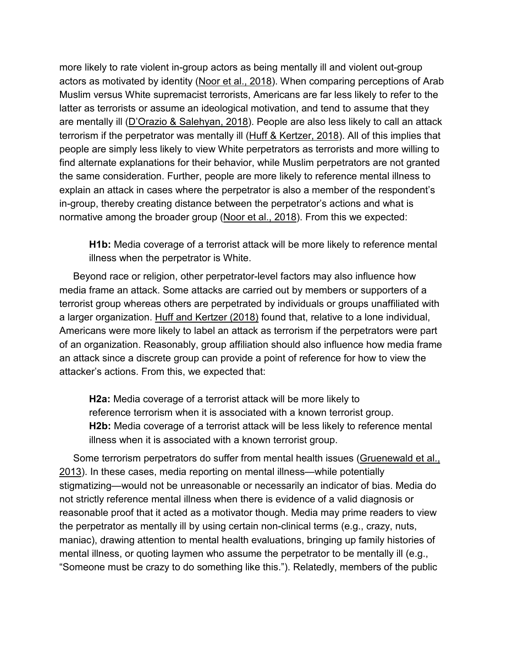more likely to rate violent in-group actors as being mentally ill and violent out-group actors as motivated by identity [\(Noor et al., 2018\)](https://journals.sagepub.com/reader/content/17d3fedb3b0/10.1177/0093650220971142/format/epub/EPUB/xhtml/index.xhtml#bibr42-0093650220971142). When comparing perceptions of Arab Muslim versus White supremacist terrorists, Americans are far less likely to refer to the latter as terrorists or assume an ideological motivation, and tend to assume that they are mentally ill [\(D'Orazio & Salehyan, 2018\)](https://journals.sagepub.com/reader/content/17d3fedb3b0/10.1177/0093650220971142/format/epub/EPUB/xhtml/index.xhtml#bibr13-0093650220971142). People are also less likely to call an attack terrorism if the perpetrator was mentally ill [\(Huff & Kertzer, 2018\)](https://journals.sagepub.com/reader/content/17d3fedb3b0/10.1177/0093650220971142/format/epub/EPUB/xhtml/index.xhtml#bibr27-0093650220971142). All of this implies that people are simply less likely to view White perpetrators as terrorists and more willing to find alternate explanations for their behavior, while Muslim perpetrators are not granted the same consideration. Further, people are more likely to reference mental illness to explain an attack in cases where the perpetrator is also a member of the respondent's in-group, thereby creating distance between the perpetrator's actions and what is normative among the broader group [\(Noor et al., 2018\)](https://journals.sagepub.com/reader/content/17d3fedb3b0/10.1177/0093650220971142/format/epub/EPUB/xhtml/index.xhtml#bibr42-0093650220971142). From this we expected:

**H1b:** Media coverage of a terrorist attack will be more likely to reference mental illness when the perpetrator is White.

Beyond race or religion, other perpetrator-level factors may also influence how media frame an attack. Some attacks are carried out by members or supporters of a terrorist group whereas others are perpetrated by individuals or groups unaffiliated with a larger organization. [Huff and Kertzer \(2018\)](https://journals.sagepub.com/reader/content/17d3fedb3b0/10.1177/0093650220971142/format/epub/EPUB/xhtml/index.xhtml#bibr27-0093650220971142) found that, relative to a lone individual, Americans were more likely to label an attack as terrorism if the perpetrators were part of an organization. Reasonably, group affiliation should also influence how media frame an attack since a discrete group can provide a point of reference for how to view the attacker's actions. From this, we expected that:

**H2a:** Media coverage of a terrorist attack will be more likely to reference terrorism when it is associated with a known terrorist group. **H2b:** Media coverage of a terrorist attack will be less likely to reference mental illness when it is associated with a known terrorist group.

Some terrorism perpetrators do suffer from mental health issues [\(Gruenewald et al.,](https://journals.sagepub.com/reader/content/17d3fedb3b0/10.1177/0093650220971142/format/epub/EPUB/xhtml/index.xhtml#bibr26-0093650220971142)  [2013\)](https://journals.sagepub.com/reader/content/17d3fedb3b0/10.1177/0093650220971142/format/epub/EPUB/xhtml/index.xhtml#bibr26-0093650220971142). In these cases, media reporting on mental illness—while potentially stigmatizing—would not be unreasonable or necessarily an indicator of bias. Media do not strictly reference mental illness when there is evidence of a valid diagnosis or reasonable proof that it acted as a motivator though. Media may prime readers to view the perpetrator as mentally ill by using certain non-clinical terms (e.g., crazy, nuts, maniac), drawing attention to mental health evaluations, bringing up family histories of mental illness, or quoting laymen who assume the perpetrator to be mentally ill (e.g., "Someone must be crazy to do something like this."). Relatedly, members of the public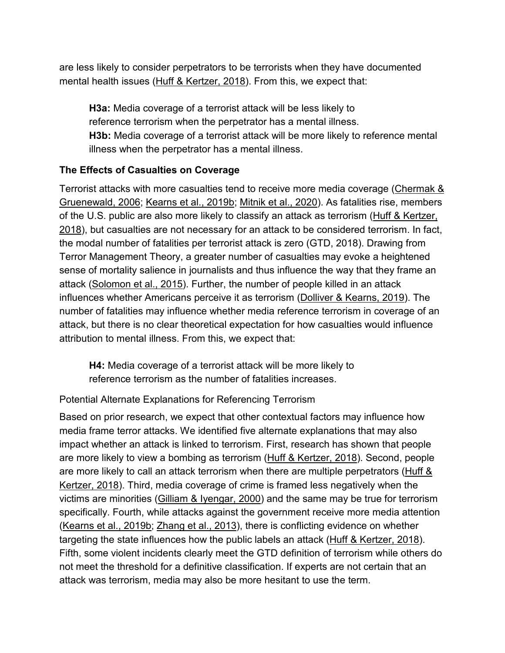are less likely to consider perpetrators to be terrorists when they have documented mental health issues [\(Huff & Kertzer, 2018\)](https://journals.sagepub.com/reader/content/17d3fedb3b0/10.1177/0093650220971142/format/epub/EPUB/xhtml/index.xhtml#bibr27-0093650220971142). From this, we expect that:

**H3a:** Media coverage of a terrorist attack will be less likely to reference terrorism when the perpetrator has a mental illness. **H3b:** Media coverage of a terrorist attack will be more likely to reference mental illness when the perpetrator has a mental illness.

#### **The Effects of Casualties on Coverage**

Terrorist attacks with more casualties tend to receive more media coverage [\(Chermak &](https://journals.sagepub.com/reader/content/17d3fedb3b0/10.1177/0093650220971142/format/epub/EPUB/xhtml/index.xhtml#bibr11-0093650220971142)  [Gruenewald, 2006;](https://journals.sagepub.com/reader/content/17d3fedb3b0/10.1177/0093650220971142/format/epub/EPUB/xhtml/index.xhtml#bibr11-0093650220971142) [Kearns et al., 2019b;](https://journals.sagepub.com/reader/content/17d3fedb3b0/10.1177/0093650220971142/format/epub/EPUB/xhtml/index.xhtml#bibr31-0093650220971142) [Mitnik et al., 2020\)](https://journals.sagepub.com/reader/content/17d3fedb3b0/10.1177/0093650220971142/format/epub/EPUB/xhtml/index.xhtml#bibr38-0093650220971142). As fatalities rise, members of the U.S. public are also more likely to classify an attack as terrorism (Huff & Kertzer, [2018\)](https://journals.sagepub.com/reader/content/17d3fedb3b0/10.1177/0093650220971142/format/epub/EPUB/xhtml/index.xhtml#bibr27-0093650220971142), but casualties are not necessary for an attack to be considered terrorism. In fact, the modal number of fatalities per terrorist attack is zero (GTD, 2018). Drawing from Terror Management Theory, a greater number of casualties may evoke a heightened sense of mortality salience in journalists and thus influence the way that they frame an attack [\(Solomon et al., 2015\)](https://journals.sagepub.com/reader/content/17d3fedb3b0/10.1177/0093650220971142/format/epub/EPUB/xhtml/index.xhtml#bibr53-0093650220971142). Further, the number of people killed in an attack influences whether Americans perceive it as terrorism [\(Dolliver & Kearns, 2019\)](https://journals.sagepub.com/reader/content/17d3fedb3b0/10.1177/0093650220971142/format/epub/EPUB/xhtml/index.xhtml#bibr17-0093650220971142). The number of fatalities may influence whether media reference terrorism in coverage of an attack, but there is no clear theoretical expectation for how casualties would influence attribution to mental illness. From this, we expect that:

**H4:** Media coverage of a terrorist attack will be more likely to reference terrorism as the number of fatalities increases.

Potential Alternate Explanations for Referencing Terrorism

Based on prior research, we expect that other contextual factors may influence how media frame terror attacks. We identified five alternate explanations that may also impact whether an attack is linked to terrorism. First, research has shown that people are more likely to view a bombing as terrorism [\(Huff & Kertzer, 2018\)](https://journals.sagepub.com/reader/content/17d3fedb3b0/10.1177/0093650220971142/format/epub/EPUB/xhtml/index.xhtml#bibr27-0093650220971142). Second, people are more likely to call an attack terrorism when there are multiple perpetrators (Huff & [Kertzer, 2018\)](https://journals.sagepub.com/reader/content/17d3fedb3b0/10.1177/0093650220971142/format/epub/EPUB/xhtml/index.xhtml#bibr27-0093650220971142). Third, media coverage of crime is framed less negatively when the victims are minorities [\(Gilliam & Iyengar, 2000\)](https://journals.sagepub.com/reader/content/17d3fedb3b0/10.1177/0093650220971142/format/epub/EPUB/xhtml/index.xhtml#bibr23-0093650220971142) and the same may be true for terrorism specifically. Fourth, while attacks against the government receive more media attention [\(Kearns et al., 2019b;](https://journals.sagepub.com/reader/content/17d3fedb3b0/10.1177/0093650220971142/format/epub/EPUB/xhtml/index.xhtml#bibr31-0093650220971142) [Zhang et al., 2013\)](https://journals.sagepub.com/reader/content/17d3fedb3b0/10.1177/0093650220971142/format/epub/EPUB/xhtml/index.xhtml#bibr61-0093650220971142), there is conflicting evidence on whether targeting the state influences how the public labels an attack [\(Huff & Kertzer, 2018\)](https://journals.sagepub.com/reader/content/17d3fedb3b0/10.1177/0093650220971142/format/epub/EPUB/xhtml/index.xhtml#bibr27-0093650220971142). Fifth, some violent incidents clearly meet the GTD definition of terrorism while others do not meet the threshold for a definitive classification. If experts are not certain that an attack was terrorism, media may also be more hesitant to use the term.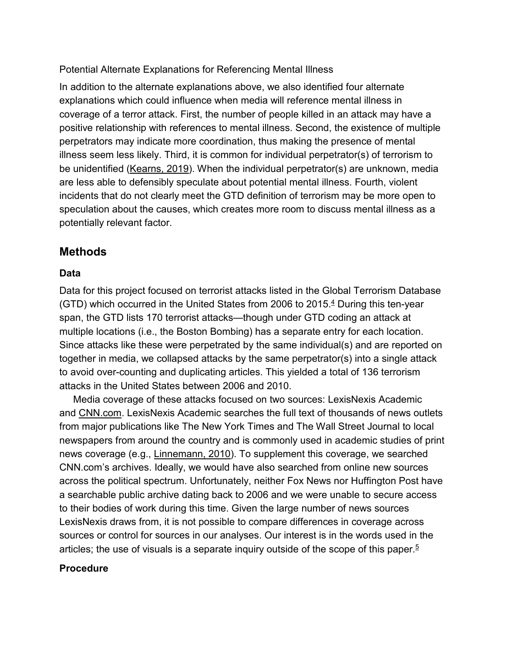Potential Alternate Explanations for Referencing Mental Illness

In addition to the alternate explanations above, we also identified four alternate explanations which could influence when media will reference mental illness in coverage of a terror attack. First, the number of people killed in an attack may have a positive relationship with references to mental illness. Second, the existence of multiple perpetrators may indicate more coordination, thus making the presence of mental illness seem less likely. Third, it is common for individual perpetrator(s) of terrorism to be unidentified [\(Kearns, 2019\)](https://journals.sagepub.com/reader/content/17d3fedb3b0/10.1177/0093650220971142/format/epub/EPUB/xhtml/index.xhtml#bibr29-0093650220971142). When the individual perpetrator(s) are unknown, media are less able to defensibly speculate about potential mental illness. Fourth, violent incidents that do not clearly meet the GTD definition of terrorism may be more open to speculation about the causes, which creates more room to discuss mental illness as a potentially relevant factor.

## **Methods**

#### **Data**

Data for this project focused on terrorist attacks listed in the Global Terrorism Database (GTD) which occurred in the United States from 2006 to 2015. [4](https://journals.sagepub.com/reader/content/17d3fedb3b0/10.1177/0093650220971142/format/epub/EPUB/xhtml/index.xhtml#fn4-0093650220971142) During this ten-year span, the GTD lists 170 terrorist attacks—though under GTD coding an attack at multiple locations (i.e., the Boston Bombing) has a separate entry for each location. Since attacks like these were perpetrated by the same individual(s) and are reported on together in media, we collapsed attacks by the same perpetrator(s) into a single attack to avoid over-counting and duplicating articles. This yielded a total of 136 terrorism attacks in the United States between 2006 and 2010.

Media coverage of these attacks focused on two sources: LexisNexis Academic and [CNN.com.](http://cnn.com/) LexisNexis Academic searches the full text of thousands of news outlets from major publications like The New York Times and The Wall Street Journal to local newspapers from around the country and is commonly used in academic studies of print news coverage (e.g., [Linnemann, 2010\)](https://journals.sagepub.com/reader/content/17d3fedb3b0/10.1177/0093650220971142/format/epub/EPUB/xhtml/index.xhtml#bibr34-0093650220971142). To supplement this coverage, we searched CNN.com's archives. Ideally, we would have also searched from online new sources across the political spectrum. Unfortunately, neither Fox News nor Huffington Post have a searchable public archive dating back to 2006 and we were unable to secure access to their bodies of work during this time. Given the large number of news sources LexisNexis draws from, it is not possible to compare differences in coverage across sources or control for sources in our analyses. Our interest is in the words used in the articles; the use of visuals is a separate inquiry outside of the scope of this paper. $5$ 

#### **Procedure**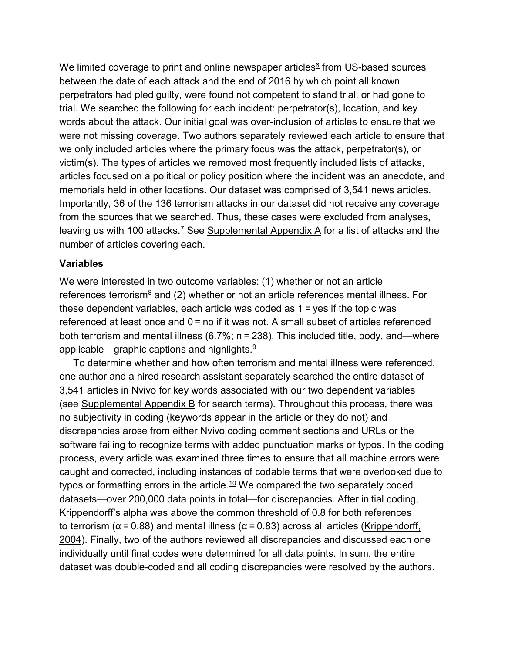We limited coverage to print and online newspaper articles $6$  from US-based sources between the date of each attack and the end of 2016 by which point all known perpetrators had pled guilty, were found not competent to stand trial, or had gone to trial. We searched the following for each incident: perpetrator(s), location, and key words about the attack. Our initial goal was over-inclusion of articles to ensure that we were not missing coverage. Two authors separately reviewed each article to ensure that we only included articles where the primary focus was the attack, perpetrator(s), or victim(s). The types of articles we removed most frequently included lists of attacks, articles focused on a political or policy position where the incident was an anecdote, and memorials held in other locations. Our dataset was comprised of 3,541 news articles. Importantly, 36 of the 136 terrorism attacks in our dataset did not receive any coverage from the sources that we searched. Thus, these cases were excluded from analyses, leaving us with 100 attacks.<sup>7</sup> See [Supplemental Appendix A](https://journals.sagepub.com/doi/suppl/10.1177/0093650220971142) for a list of attacks and the number of articles covering each.

#### **Variables**

We were interested in two outcome variables: (1) whether or not an article references terrorism $8$  and (2) whether or not an article references mental illness. For these dependent variables, each article was coded as 1 = yes if the topic was referenced at least once and 0 = no if it was not. A small subset of articles referenced both terrorism and mental illness (6.7%;  $n = 238$ ). This included title, body, and—where applicable—graphic captions and highlights. $9$ 

To determine whether and how often terrorism and mental illness were referenced, one author and a hired research assistant separately searched the entire dataset of 3,541 articles in Nvivo for key words associated with our two dependent variables (see [Supplemental Appendix B](https://journals.sagepub.com/doi/suppl/10.1177/0093650220971142) for search terms). Throughout this process, there was no subjectivity in coding (keywords appear in the article or they do not) and discrepancies arose from either Nvivo coding comment sections and URLs or the software failing to recognize terms with added punctuation marks or typos. In the coding process, every article was examined three times to ensure that all machine errors were caught and corrected, including instances of codable terms that were overlooked due to typos or formatting errors in the article.<sup>10</sup> We compared the two separately coded datasets—over 200,000 data points in total—for discrepancies. After initial coding, Krippendorff's alpha was above the common threshold of 0.8 for both references to terrorism ( $α = 0.88$ ) and mental illness ( $α = 0.83$ ) across all articles (Krippendorff, [2004\)](https://journals.sagepub.com/reader/content/17d3fedb3b0/10.1177/0093650220971142/format/epub/EPUB/xhtml/index.xhtml#bibr32-0093650220971142). Finally, two of the authors reviewed all discrepancies and discussed each one individually until final codes were determined for all data points. In sum, the entire dataset was double-coded and all coding discrepancies were resolved by the authors.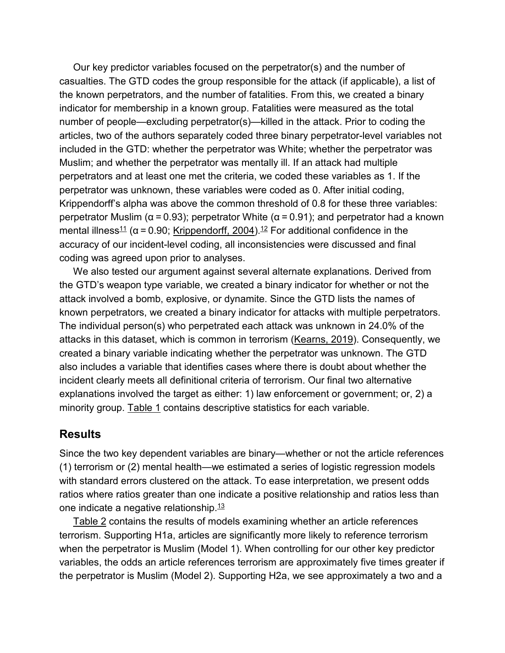Our key predictor variables focused on the perpetrator(s) and the number of casualties. The GTD codes the group responsible for the attack (if applicable), a list of the known perpetrators, and the number of fatalities. From this, we created a binary indicator for membership in a known group. Fatalities were measured as the total number of people—excluding perpetrator(s)—killed in the attack. Prior to coding the articles, two of the authors separately coded three binary perpetrator-level variables not included in the GTD: whether the perpetrator was White; whether the perpetrator was Muslim; and whether the perpetrator was mentally ill. If an attack had multiple perpetrators and at least one met the criteria, we coded these variables as 1. If the perpetrator was unknown, these variables were coded as 0. After initial coding, Krippendorff's alpha was above the common threshold of 0.8 for these three variables: perpetrator Muslim (α = 0.93); perpetrator White (α = 0.91); and perpetrator had a known mental illness<sup>11</sup> ( $\alpha$  = 0.90; [Krippendorff, 2004\)](https://journals.sagepub.com/reader/content/17d3fedb3b0/10.1177/0093650220971142/format/epub/EPUB/xhtml/index.xhtml#bibr32-0093650220971142).<sup>12</sup> For additional confidence in the accuracy of our incident-level coding, all inconsistencies were discussed and final coding was agreed upon prior to analyses.

We also tested our argument against several alternate explanations. Derived from the GTD's weapon type variable, we created a binary indicator for whether or not the attack involved a bomb, explosive, or dynamite. Since the GTD lists the names of known perpetrators, we created a binary indicator for attacks with multiple perpetrators. The individual person(s) who perpetrated each attack was unknown in 24.0% of the attacks in this dataset, which is common in terrorism [\(Kearns, 2019\)](https://journals.sagepub.com/reader/content/17d3fedb3b0/10.1177/0093650220971142/format/epub/EPUB/xhtml/index.xhtml#bibr29-0093650220971142). Consequently, we created a binary variable indicating whether the perpetrator was unknown. The GTD also includes a variable that identifies cases where there is doubt about whether the incident clearly meets all definitional criteria of terrorism. Our final two alternative explanations involved the target as either: 1) law enforcement or government; or, 2) a minority group. [Table 1](https://journals.sagepub.com/reader/content/17d3fedb3b0/10.1177/0093650220971142/format/epub/EPUB/xhtml/table1-0093650220971142.xhtml) contains descriptive statistics for each variable.

#### **Results**

Since the two key dependent variables are binary—whether or not the article references (1) terrorism or (2) mental health—we estimated a series of logistic regression models with standard errors clustered on the attack. To ease interpretation, we present odds ratios where ratios greater than one indicate a positive relationship and ratios less than one indicate a negative relationship[.13](https://journals.sagepub.com/reader/content/17d3fedb3b0/10.1177/0093650220971142/format/epub/EPUB/xhtml/index.xhtml#fn13-0093650220971142)

[Table 2](https://journals.sagepub.com/reader/content/17d3fedb3b0/10.1177/0093650220971142/format/epub/EPUB/xhtml/table2-0093650220971142.xhtml) contains the results of models examining whether an article references terrorism. Supporting H1a, articles are significantly more likely to reference terrorism when the perpetrator is Muslim (Model 1). When controlling for our other key predictor variables, the odds an article references terrorism are approximately five times greater if the perpetrator is Muslim (Model 2). Supporting H2a, we see approximately a two and a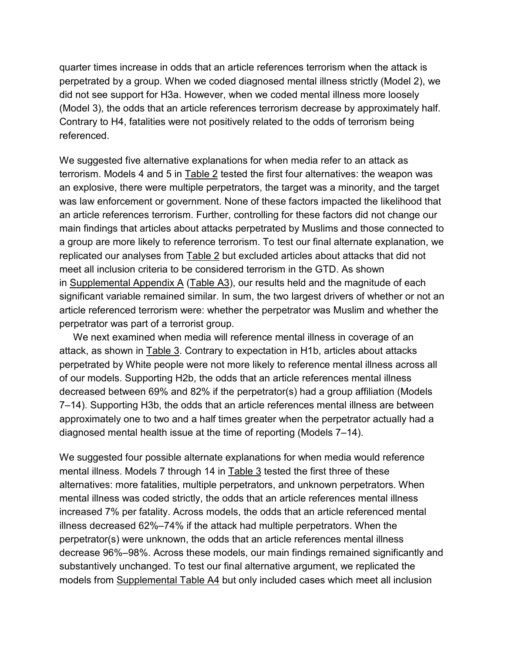quarter times increase in odds that an article references terrorism when the attack is perpetrated by a group. When we coded diagnosed mental illness strictly (Model 2), we did not see support for H3a. However, when we coded mental illness more loosely (Model 3), the odds that an article references terrorism decrease by approximately half. Contrary to H4, fatalities were not positively related to the odds of terrorism being referenced.

We suggested five alternative explanations for when media refer to an attack as terrorism. Models 4 and 5 in [Table 2](https://journals.sagepub.com/reader/content/17d3fedb3b0/10.1177/0093650220971142/format/epub/EPUB/xhtml/table2-0093650220971142.xhtml) tested the first four alternatives: the weapon was an explosive, there were multiple perpetrators, the target was a minority, and the target was law enforcement or government. None of these factors impacted the likelihood that an article references terrorism. Further, controlling for these factors did not change our main findings that articles about attacks perpetrated by Muslims and those connected to a group are more likely to reference terrorism. To test our final alternate explanation, we replicated our analyses from [Table 2](https://journals.sagepub.com/reader/content/17d3fedb3b0/10.1177/0093650220971142/format/epub/EPUB/xhtml/table2-0093650220971142.xhtml) but excluded articles about attacks that did not meet all inclusion criteria to be considered terrorism in the GTD. As shown in [Supplemental Appendix A \(Table A3\)](https://journals.sagepub.com/doi/suppl/10.1177/0093650220971142), our results held and the magnitude of each significant variable remained similar. In sum, the two largest drivers of whether or not an article referenced terrorism were: whether the perpetrator was Muslim and whether the perpetrator was part of a terrorist group.

We next examined when media will reference mental illness in coverage of an attack, as shown in [Table 3.](https://journals.sagepub.com/reader/content/17d3fedb3b0/10.1177/0093650220971142/format/epub/EPUB/xhtml/table3-0093650220971142.xhtml) Contrary to expectation in H1b, articles about attacks perpetrated by White people were not more likely to reference mental illness across all of our models. Supporting H2b, the odds that an article references mental illness decreased between 69% and 82% if the perpetrator(s) had a group affiliation (Models 7–14). Supporting H3b, the odds that an article references mental illness are between approximately one to two and a half times greater when the perpetrator actually had a diagnosed mental health issue at the time of reporting (Models 7–14).

We suggested four possible alternate explanations for when media would reference mental illness. Models 7 through 14 in [Table 3](https://journals.sagepub.com/reader/content/17d3fedb3b0/10.1177/0093650220971142/format/epub/EPUB/xhtml/table3-0093650220971142.xhtml) tested the first three of these alternatives: more fatalities, multiple perpetrators, and unknown perpetrators. When mental illness was coded strictly, the odds that an article references mental illness increased 7% per fatality. Across models, the odds that an article referenced mental illness decreased 62%–74% if the attack had multiple perpetrators. When the perpetrator(s) were unknown, the odds that an article references mental illness decrease 96%–98%. Across these models, our main findings remained significantly and substantively unchanged. To test our final alternative argument, we replicated the models from [Supplemental Table A4](https://journals.sagepub.com/doi/suppl/10.1177/0093650220971142) but only included cases which meet all inclusion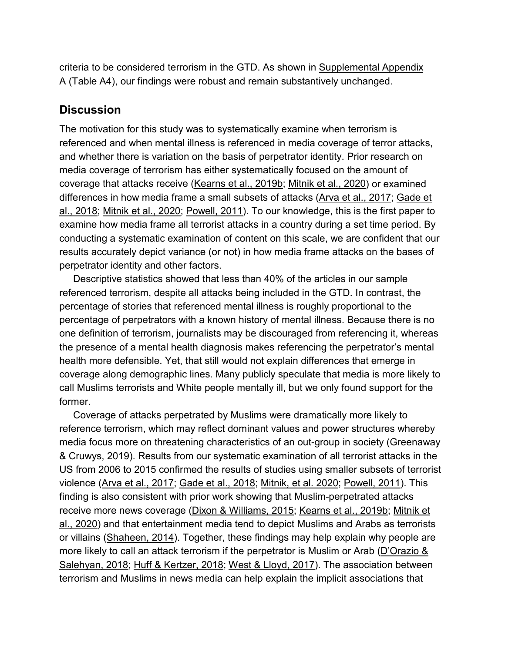criteria to be considered terrorism in the GTD. As shown in [Supplemental Appendix](https://journals.sagepub.com/doi/suppl/10.1177/0093650220971142)  [A \(Table A4\)](https://journals.sagepub.com/doi/suppl/10.1177/0093650220971142), our findings were robust and remain substantively unchanged.

#### **Discussion**

The motivation for this study was to systematically examine when terrorism is referenced and when mental illness is referenced in media coverage of terror attacks, and whether there is variation on the basis of perpetrator identity. Prior research on media coverage of terrorism has either systematically focused on the amount of coverage that attacks receive [\(Kearns et al., 2019b;](https://journals.sagepub.com/reader/content/17d3fedb3b0/10.1177/0093650220971142/format/epub/EPUB/xhtml/index.xhtml#bibr31-0093650220971142) [Mitnik et al., 2020\)](https://journals.sagepub.com/reader/content/17d3fedb3b0/10.1177/0093650220971142/format/epub/EPUB/xhtml/index.xhtml#bibr38-0093650220971142) or examined differences in how media frame a small subsets of attacks [\(Arva et al., 2017;](https://journals.sagepub.com/reader/content/17d3fedb3b0/10.1177/0093650220971142/format/epub/EPUB/xhtml/index.xhtml#bibr4-0093650220971142) [Gade et](https://journals.sagepub.com/reader/content/17d3fedb3b0/10.1177/0093650220971142/format/epub/EPUB/xhtml/index.xhtml#bibr21-0093650220971142)  [al., 2018;](https://journals.sagepub.com/reader/content/17d3fedb3b0/10.1177/0093650220971142/format/epub/EPUB/xhtml/index.xhtml#bibr21-0093650220971142) [Mitnik et al., 2020;](https://journals.sagepub.com/reader/content/17d3fedb3b0/10.1177/0093650220971142/format/epub/EPUB/xhtml/index.xhtml#bibr38-0093650220971142) [Powell, 2011\)](https://journals.sagepub.com/reader/content/17d3fedb3b0/10.1177/0093650220971142/format/epub/EPUB/xhtml/index.xhtml#bibr45-0093650220971142). To our knowledge, this is the first paper to examine how media frame all terrorist attacks in a country during a set time period. By conducting a systematic examination of content on this scale, we are confident that our results accurately depict variance (or not) in how media frame attacks on the bases of perpetrator identity and other factors.

Descriptive statistics showed that less than 40% of the articles in our sample referenced terrorism, despite all attacks being included in the GTD. In contrast, the percentage of stories that referenced mental illness is roughly proportional to the percentage of perpetrators with a known history of mental illness. Because there is no one definition of terrorism, journalists may be discouraged from referencing it, whereas the presence of a mental health diagnosis makes referencing the perpetrator's mental health more defensible. Yet, that still would not explain differences that emerge in coverage along demographic lines. Many publicly speculate that media is more likely to call Muslims terrorists and White people mentally ill, but we only found support for the former.

Coverage of attacks perpetrated by Muslims were dramatically more likely to reference terrorism, which may reflect dominant values and power structures whereby media focus more on threatening characteristics of an out-group in society (Greenaway & Cruwys, 2019). Results from our systematic examination of all terrorist attacks in the US from 2006 to 2015 confirmed the results of studies using smaller subsets of terrorist violence [\(Arva et al., 2017;](https://journals.sagepub.com/reader/content/17d3fedb3b0/10.1177/0093650220971142/format/epub/EPUB/xhtml/index.xhtml#bibr4-0093650220971142) [Gade et al., 2018;](https://journals.sagepub.com/reader/content/17d3fedb3b0/10.1177/0093650220971142/format/epub/EPUB/xhtml/index.xhtml#bibr21-0093650220971142) [Mitnik, et al. 2020;](https://journals.sagepub.com/reader/content/17d3fedb3b0/10.1177/0093650220971142/format/epub/EPUB/xhtml/index.xhtml#bibr38-0093650220971142) [Powell, 2011\)](https://journals.sagepub.com/reader/content/17d3fedb3b0/10.1177/0093650220971142/format/epub/EPUB/xhtml/index.xhtml#bibr45-0093650220971142). This finding is also consistent with prior work showing that Muslim-perpetrated attacks receive more news coverage [\(Dixon & Williams, 2015;](https://journals.sagepub.com/reader/content/17d3fedb3b0/10.1177/0093650220971142/format/epub/EPUB/xhtml/index.xhtml#bibr16-0093650220971142) [Kearns et al., 2019b;](https://journals.sagepub.com/reader/content/17d3fedb3b0/10.1177/0093650220971142/format/epub/EPUB/xhtml/index.xhtml#bibr31-0093650220971142) [Mitnik et](https://journals.sagepub.com/reader/content/17d3fedb3b0/10.1177/0093650220971142/format/epub/EPUB/xhtml/index.xhtml#bibr38-0093650220971142)  [al., 2020\)](https://journals.sagepub.com/reader/content/17d3fedb3b0/10.1177/0093650220971142/format/epub/EPUB/xhtml/index.xhtml#bibr38-0093650220971142) and that entertainment media tend to depict Muslims and Arabs as terrorists or villains [\(Shaheen, 2014\)](https://journals.sagepub.com/reader/content/17d3fedb3b0/10.1177/0093650220971142/format/epub/EPUB/xhtml/index.xhtml#bibr50-0093650220971142). Together, these findings may help explain why people are more likely to call an attack terrorism if the perpetrator is Muslim or Arab (D'Orazio & [Salehyan, 2018;](https://journals.sagepub.com/reader/content/17d3fedb3b0/10.1177/0093650220971142/format/epub/EPUB/xhtml/index.xhtml#bibr13-0093650220971142) [Huff & Kertzer, 2018;](https://journals.sagepub.com/reader/content/17d3fedb3b0/10.1177/0093650220971142/format/epub/EPUB/xhtml/index.xhtml#bibr27-0093650220971142) [West & Lloyd, 2017\)](https://journals.sagepub.com/reader/content/17d3fedb3b0/10.1177/0093650220971142/format/epub/EPUB/xhtml/index.xhtml#bibr59-0093650220971142). The association between terrorism and Muslims in news media can help explain the implicit associations that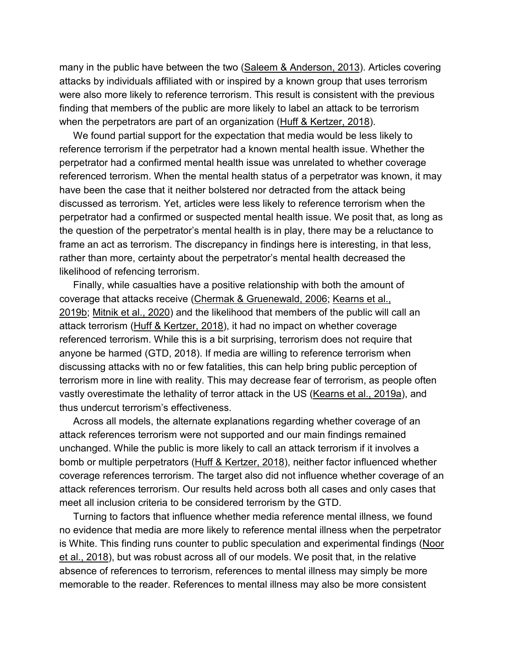many in the public have between the two [\(Saleem & Anderson, 2013\)](https://journals.sagepub.com/reader/content/17d3fedb3b0/10.1177/0093650220971142/format/epub/EPUB/xhtml/index.xhtml#bibr47-0093650220971142). Articles covering attacks by individuals affiliated with or inspired by a known group that uses terrorism were also more likely to reference terrorism. This result is consistent with the previous finding that members of the public are more likely to label an attack to be terrorism when the perpetrators are part of an organization [\(Huff & Kertzer, 2018\)](https://journals.sagepub.com/reader/content/17d3fedb3b0/10.1177/0093650220971142/format/epub/EPUB/xhtml/index.xhtml#bibr27-0093650220971142).

We found partial support for the expectation that media would be less likely to reference terrorism if the perpetrator had a known mental health issue. Whether the perpetrator had a confirmed mental health issue was unrelated to whether coverage referenced terrorism. When the mental health status of a perpetrator was known, it may have been the case that it neither bolstered nor detracted from the attack being discussed as terrorism. Yet, articles were less likely to reference terrorism when the perpetrator had a confirmed or suspected mental health issue. We posit that, as long as the question of the perpetrator's mental health is in play, there may be a reluctance to frame an act as terrorism. The discrepancy in findings here is interesting, in that less, rather than more, certainty about the perpetrator's mental health decreased the likelihood of refencing terrorism.

Finally, while casualties have a positive relationship with both the amount of coverage that attacks receive [\(Chermak & Gruenewald, 2006;](https://journals.sagepub.com/reader/content/17d3fedb3b0/10.1177/0093650220971142/format/epub/EPUB/xhtml/index.xhtml#bibr11-0093650220971142) [Kearns et al.,](https://journals.sagepub.com/reader/content/17d3fedb3b0/10.1177/0093650220971142/format/epub/EPUB/xhtml/index.xhtml#bibr31-0093650220971142)  [2019b;](https://journals.sagepub.com/reader/content/17d3fedb3b0/10.1177/0093650220971142/format/epub/EPUB/xhtml/index.xhtml#bibr31-0093650220971142) [Mitnik et al., 2020\)](https://journals.sagepub.com/reader/content/17d3fedb3b0/10.1177/0093650220971142/format/epub/EPUB/xhtml/index.xhtml#bibr38-0093650220971142) and the likelihood that members of the public will call an attack terrorism [\(Huff & Kertzer, 2018\)](https://journals.sagepub.com/reader/content/17d3fedb3b0/10.1177/0093650220971142/format/epub/EPUB/xhtml/index.xhtml#bibr27-0093650220971142), it had no impact on whether coverage referenced terrorism. While this is a bit surprising, terrorism does not require that anyone be harmed (GTD, 2018). If media are willing to reference terrorism when discussing attacks with no or few fatalities, this can help bring public perception of terrorism more in line with reality. This may decrease fear of terrorism, as people often vastly overestimate the lethality of terror attack in the US [\(Kearns et al., 2019a\)](https://journals.sagepub.com/reader/content/17d3fedb3b0/10.1177/0093650220971142/format/epub/EPUB/xhtml/index.xhtml#bibr30-0093650220971142), and thus undercut terrorism's effectiveness.

Across all models, the alternate explanations regarding whether coverage of an attack references terrorism were not supported and our main findings remained unchanged. While the public is more likely to call an attack terrorism if it involves a bomb or multiple perpetrators [\(Huff & Kertzer, 2018\)](https://journals.sagepub.com/reader/content/17d3fedb3b0/10.1177/0093650220971142/format/epub/EPUB/xhtml/index.xhtml#bibr27-0093650220971142), neither factor influenced whether coverage references terrorism. The target also did not influence whether coverage of an attack references terrorism. Our results held across both all cases and only cases that meet all inclusion criteria to be considered terrorism by the GTD.

Turning to factors that influence whether media reference mental illness, we found no evidence that media are more likely to reference mental illness when the perpetrator is White. This finding runs counter to public speculation and experimental findings (Noor [et al., 2018\)](https://journals.sagepub.com/reader/content/17d3fedb3b0/10.1177/0093650220971142/format/epub/EPUB/xhtml/index.xhtml#bibr42-0093650220971142), but was robust across all of our models. We posit that, in the relative absence of references to terrorism, references to mental illness may simply be more memorable to the reader. References to mental illness may also be more consistent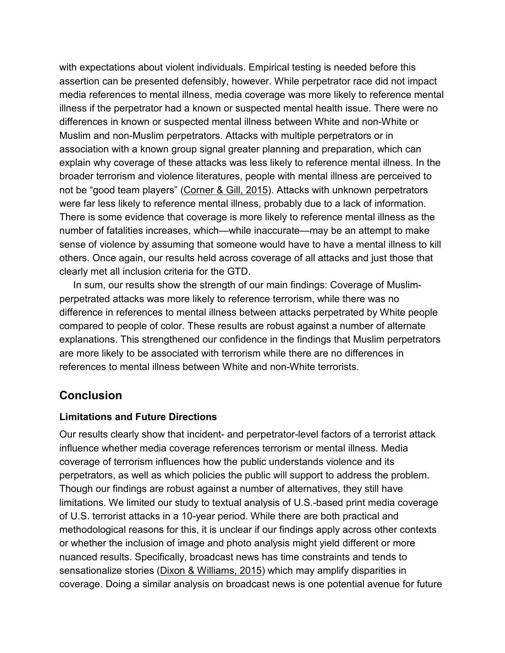with expectations about violent individuals. Empirical testing is needed before this assertion can be presented defensibly, however. While perpetrator race did not impact media references to mental illness, media coverage was more likely to reference mental illness if the perpetrator had a known or suspected mental health issue. There were no differences in known or suspected mental illness between White and non-White or Muslim and non-Muslim perpetrators. Attacks with multiple perpetrators or in association with a known group signal greater planning and preparation, which can explain why coverage of these attacks was less likely to reference mental illness. In the broader terrorism and violence literatures, people with mental illness are perceived to not be "good team players" [\(Corner & Gill, 2015\)](https://journals.sagepub.com/reader/content/17d3fedb3b0/10.1177/0093650220971142/format/epub/EPUB/xhtml/index.xhtml#bibr12-0093650220971142). Attacks with unknown perpetrators were far less likely to reference mental illness, probably due to a lack of information. There is some evidence that coverage is more likely to reference mental illness as the number of fatalities increases, which—while inaccurate—may be an attempt to make sense of violence by assuming that someone would have to have a mental illness to kill others. Once again, our results held across coverage of all attacks and just those that clearly met all inclusion criteria for the GTD.

In sum, our results show the strength of our main findings: Coverage of Muslimperpetrated attacks was more likely to reference terrorism, while there was no difference in references to mental illness between attacks perpetrated by White people compared to people of color. These results are robust against a number of alternate explanations. This strengthened our confidence in the findings that Muslim perpetrators are more likely to be associated with terrorism while there are no differences in references to mental illness between White and non-White terrorists.

#### **Conclusion**

#### **Limitations and Future Directions**

Our results clearly show that incident- and perpetrator-level factors of a terrorist attack influence whether media coverage references terrorism or mental illness. Media coverage of terrorism influences how the public understands violence and its perpetrators, as well as which policies the public will support to address the problem. Though our findings are robust against a number of alternatives, they still have limitations. We limited our study to textual analysis of U.S.-based print media coverage of U.S. terrorist attacks in a 10-year period. While there are both practical and methodological reasons for this, it is unclear if our findings apply across other contexts or whether the inclusion of image and photo analysis might yield different or more nuanced results. Specifically, broadcast news has time constraints and tends to sensationalize stories [\(Dixon & Williams, 2015\)](https://journals.sagepub.com/reader/content/17d3fedb3b0/10.1177/0093650220971142/format/epub/EPUB/xhtml/index.xhtml#bibr16-0093650220971142) which may amplify disparities in coverage. Doing a similar analysis on broadcast news is one potential avenue for future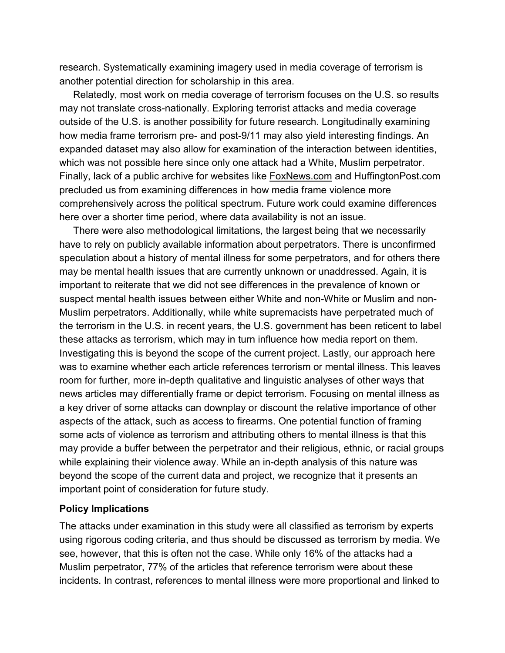research. Systematically examining imagery used in media coverage of terrorism is another potential direction for scholarship in this area.

Relatedly, most work on media coverage of terrorism focuses on the U.S. so results may not translate cross-nationally. Exploring terrorist attacks and media coverage outside of the U.S. is another possibility for future research. Longitudinally examining how media frame terrorism pre- and post-9/11 may also yield interesting findings. An expanded dataset may also allow for examination of the interaction between identities, which was not possible here since only one attack had a White, Muslim perpetrator. Finally, lack of a public archive for websites like [FoxNews.com](http://foxnews.com/) and HuffingtonPost.com precluded us from examining differences in how media frame violence more comprehensively across the political spectrum. Future work could examine differences here over a shorter time period, where data availability is not an issue.

There were also methodological limitations, the largest being that we necessarily have to rely on publicly available information about perpetrators. There is unconfirmed speculation about a history of mental illness for some perpetrators, and for others there may be mental health issues that are currently unknown or unaddressed. Again, it is important to reiterate that we did not see differences in the prevalence of known or suspect mental health issues between either White and non-White or Muslim and non-Muslim perpetrators. Additionally, while white supremacists have perpetrated much of the terrorism in the U.S. in recent years, the U.S. government has been reticent to label these attacks as terrorism, which may in turn influence how media report on them. Investigating this is beyond the scope of the current project. Lastly, our approach here was to examine whether each article references terrorism or mental illness. This leaves room for further, more in-depth qualitative and linguistic analyses of other ways that news articles may differentially frame or depict terrorism. Focusing on mental illness as a key driver of some attacks can downplay or discount the relative importance of other aspects of the attack, such as access to firearms. One potential function of framing some acts of violence as terrorism and attributing others to mental illness is that this may provide a buffer between the perpetrator and their religious, ethnic, or racial groups while explaining their violence away. While an in-depth analysis of this nature was beyond the scope of the current data and project, we recognize that it presents an important point of consideration for future study.

#### **Policy Implications**

The attacks under examination in this study were all classified as terrorism by experts using rigorous coding criteria, and thus should be discussed as terrorism by media. We see, however, that this is often not the case. While only 16% of the attacks had a Muslim perpetrator, 77% of the articles that reference terrorism were about these incidents. In contrast, references to mental illness were more proportional and linked to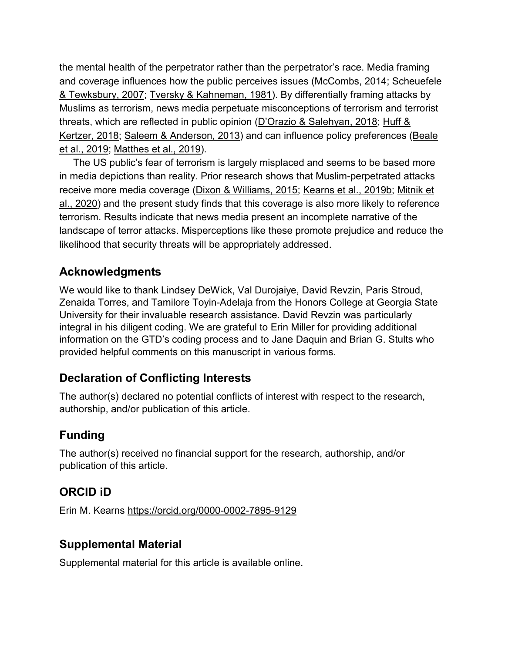the mental health of the perpetrator rather than the perpetrator's race. Media framing and coverage influences how the public perceives issues [\(McCombs, 2014;](https://journals.sagepub.com/reader/content/17d3fedb3b0/10.1177/0093650220971142/format/epub/EPUB/xhtml/index.xhtml#bibr36-0093650220971142) [Scheuefele](https://journals.sagepub.com/reader/content/17d3fedb3b0/10.1177/0093650220971142/format/epub/EPUB/xhtml/index.xhtml#bibr48-0093650220971142)  [& Tewksbury, 2007;](https://journals.sagepub.com/reader/content/17d3fedb3b0/10.1177/0093650220971142/format/epub/EPUB/xhtml/index.xhtml#bibr48-0093650220971142) [Tversky & Kahneman, 1981\)](https://journals.sagepub.com/reader/content/17d3fedb3b0/10.1177/0093650220971142/format/epub/EPUB/xhtml/index.xhtml#bibr55-0093650220971142). By differentially framing attacks by Muslims as terrorism, news media perpetuate misconceptions of terrorism and terrorist threats, which are reflected in public opinion (D'Orazio [& Salehyan, 2018;](https://journals.sagepub.com/reader/content/17d3fedb3b0/10.1177/0093650220971142/format/epub/EPUB/xhtml/index.xhtml#bibr13-0093650220971142) [Huff &](https://journals.sagepub.com/reader/content/17d3fedb3b0/10.1177/0093650220971142/format/epub/EPUB/xhtml/index.xhtml#bibr27-0093650220971142)  [Kertzer, 2018;](https://journals.sagepub.com/reader/content/17d3fedb3b0/10.1177/0093650220971142/format/epub/EPUB/xhtml/index.xhtml#bibr27-0093650220971142) [Saleem & Anderson, 2013\)](https://journals.sagepub.com/reader/content/17d3fedb3b0/10.1177/0093650220971142/format/epub/EPUB/xhtml/index.xhtml#bibr47-0093650220971142) and can influence policy preferences (Beale [et al., 2019;](https://journals.sagepub.com/reader/content/17d3fedb3b0/10.1177/0093650220971142/format/epub/EPUB/xhtml/index.xhtml#bibr6-0093650220971142) [Matthes et al., 2019\)](https://journals.sagepub.com/reader/content/17d3fedb3b0/10.1177/0093650220971142/format/epub/EPUB/xhtml/index.xhtml#bibr35-0093650220971142).

The US public's fear of terrorism is largely misplaced and seems to be based more in media depictions than reality. Prior research shows that Muslim-perpetrated attacks receive more media coverage [\(Dixon & Williams, 2015;](https://journals.sagepub.com/reader/content/17d3fedb3b0/10.1177/0093650220971142/format/epub/EPUB/xhtml/index.xhtml#bibr16-0093650220971142) [Kearns et al., 2019b;](https://journals.sagepub.com/reader/content/17d3fedb3b0/10.1177/0093650220971142/format/epub/EPUB/xhtml/index.xhtml#bibr31-0093650220971142) [Mitnik et](https://journals.sagepub.com/reader/content/17d3fedb3b0/10.1177/0093650220971142/format/epub/EPUB/xhtml/index.xhtml#bibr38-0093650220971142)  [al., 2020\)](https://journals.sagepub.com/reader/content/17d3fedb3b0/10.1177/0093650220971142/format/epub/EPUB/xhtml/index.xhtml#bibr38-0093650220971142) and the present study finds that this coverage is also more likely to reference terrorism. Results indicate that news media present an incomplete narrative of the landscape of terror attacks. Misperceptions like these promote prejudice and reduce the likelihood that security threats will be appropriately addressed.

## **Acknowledgments**

We would like to thank Lindsey DeWick, Val Durojaiye, David Revzin, Paris Stroud, Zenaida Torres, and Tamilore Toyin-Adelaja from the Honors College at Georgia State University for their invaluable research assistance. David Revzin was particularly integral in his diligent coding. We are grateful to Erin Miller for providing additional information on the GTD's coding process and to Jane Daquin and Brian G. Stults who provided helpful comments on this manuscript in various forms.

## **Declaration of Conflicting Interests**

The author(s) declared no potential conflicts of interest with respect to the research, authorship, and/or publication of this article.

## **Funding**

The author(s) received no financial support for the research, authorship, and/or publication of this article.

## **ORCID iD**

Erin M. Kearns <https://orcid.org/0000-0002-7895-9129>

### **Supplemental Material**

Supplemental material for this article is available online.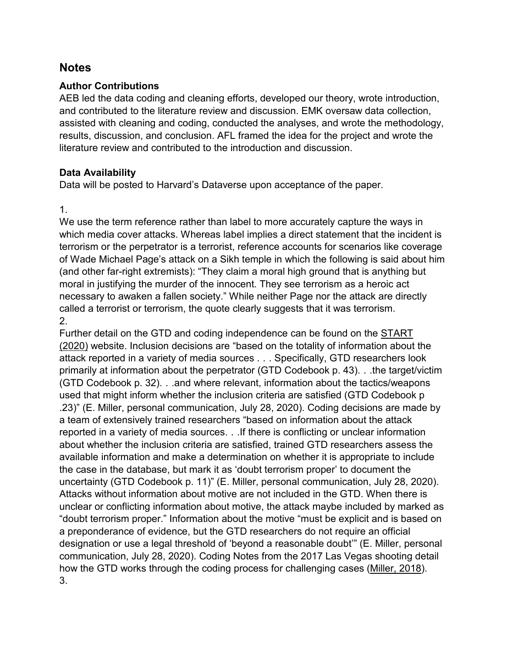## **Notes**

#### **Author Contributions**

AEB led the data coding and cleaning efforts, developed our theory, wrote introduction, and contributed to the literature review and discussion. EMK oversaw data collection, assisted with cleaning and coding, conducted the analyses, and wrote the methodology, results, discussion, and conclusion. AFL framed the idea for the project and wrote the literature review and contributed to the introduction and discussion.

#### **Data Availability**

Data will be posted to Harvard's Dataverse upon acceptance of the paper.

1.

We use the term reference rather than label to more accurately capture the ways in which media cover attacks. Whereas label implies a direct statement that the incident is terrorism or the perpetrator is a terrorist, reference accounts for scenarios like coverage of Wade Michael Page's attack on a Sikh temple in which the following is said about him (and other far-right extremists): "They claim a moral high ground that is anything but moral in justifying the murder of the innocent. They see terrorism as a heroic act necessary to awaken a fallen society." While neither Page nor the attack are directly called a terrorist or terrorism, the quote clearly suggests that it was terrorism. 2.

Further detail on the GTD and coding independence can be found on the [START](https://journals.sagepub.com/reader/content/17d3fedb3b0/10.1177/0093650220971142/format/epub/EPUB/xhtml/index.xhtml#bibr41-0093650220971142)  [\(2020\)](https://journals.sagepub.com/reader/content/17d3fedb3b0/10.1177/0093650220971142/format/epub/EPUB/xhtml/index.xhtml#bibr41-0093650220971142) website. Inclusion decisions are "based on the totality of information about the attack reported in a variety of media sources . . . Specifically, GTD researchers look primarily at information about the perpetrator (GTD Codebook p. 43). . .the target/victim (GTD Codebook p. 32). . .and where relevant, information about the tactics/weapons used that might inform whether the inclusion criteria are satisfied (GTD Codebook p .23)" (E. Miller, personal communication, July 28, 2020). Coding decisions are made by a team of extensively trained researchers "based on information about the attack reported in a variety of media sources. . . If there is conflicting or unclear information about whether the inclusion criteria are satisfied, trained GTD researchers assess the available information and make a determination on whether it is appropriate to include the case in the database, but mark it as 'doubt terrorism proper' to document the uncertainty (GTD Codebook p. 11)" (E. Miller, personal communication, July 28, 2020). Attacks without information about motive are not included in the GTD. When there is unclear or conflicting information about motive, the attack maybe included by marked as "doubt terrorism proper." Information about the motive "must be explicit and is based on a preponderance of evidence, but the GTD researchers do not require an official designation or use a legal threshold of 'beyond a reasonable doubt'" (E. Miller, personal communication, July 28, 2020). Coding Notes from the 2017 Las Vegas shooting detail how the GTD works through the coding process for challenging cases [\(Miller, 2018\)](https://journals.sagepub.com/reader/content/17d3fedb3b0/10.1177/0093650220971142/format/epub/EPUB/xhtml/index.xhtml#bibr37-0093650220971142). 3.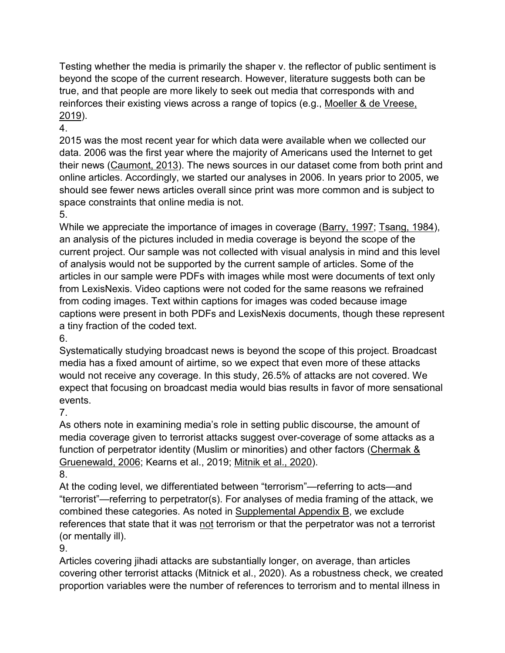Testing whether the media is primarily the shaper v. the reflector of public sentiment is beyond the scope of the current research. However, literature suggests both can be true, and that people are more likely to seek out media that corresponds with and reinforces their existing views across a range of topics (e.g., Moeller & de Vreese, [2019\)](https://journals.sagepub.com/reader/content/17d3fedb3b0/10.1177/0093650220971142/format/epub/EPUB/xhtml/index.xhtml#bibr39-0093650220971142).

4.

2015 was the most recent year for which data were available when we collected our data. 2006 was the first year where the majority of Americans used the Internet to get their news [\(Caumont, 2013\)](https://journals.sagepub.com/reader/content/17d3fedb3b0/10.1177/0093650220971142/format/epub/EPUB/xhtml/index.xhtml#bibr10-0093650220971142). The news sources in our dataset come from both print and online articles. Accordingly, we started our analyses in 2006. In years prior to 2005, we should see fewer news articles overall since print was more common and is subject to space constraints that online media is not.

5.

While we appreciate the importance of images in coverage [\(Barry, 1997;](https://journals.sagepub.com/reader/content/17d3fedb3b0/10.1177/0093650220971142/format/epub/EPUB/xhtml/index.xhtml#bibr5-0093650220971142) [Tsang, 1984\)](https://journals.sagepub.com/reader/content/17d3fedb3b0/10.1177/0093650220971142/format/epub/EPUB/xhtml/index.xhtml#bibr54-0093650220971142), an analysis of the pictures included in media coverage is beyond the scope of the current project. Our sample was not collected with visual analysis in mind and this level of analysis would not be supported by the current sample of articles. Some of the articles in our sample were PDFs with images while most were documents of text only from LexisNexis. Video captions were not coded for the same reasons we refrained from coding images. Text within captions for images was coded because image captions were present in both PDFs and LexisNexis documents, though these represent a tiny fraction of the coded text.

6.

Systematically studying broadcast news is beyond the scope of this project. Broadcast media has a fixed amount of airtime, so we expect that even more of these attacks would not receive any coverage. In this study, 26.5% of attacks are not covered. We expect that focusing on broadcast media would bias results in favor of more sensational events.

7.

As others note in examining media's role in setting public discourse, the amount of media coverage given to terrorist attacks suggest over-coverage of some attacks as a function of perpetrator identity (Muslim or minorities) and other factors [\(Chermak &](https://journals.sagepub.com/reader/content/17d3fedb3b0/10.1177/0093650220971142/format/epub/EPUB/xhtml/index.xhtml#bibr11-0093650220971142)  [Gruenewald, 2006;](https://journals.sagepub.com/reader/content/17d3fedb3b0/10.1177/0093650220971142/format/epub/EPUB/xhtml/index.xhtml#bibr11-0093650220971142) Kearns et al., 2019; [Mitnik et al., 2020\)](https://journals.sagepub.com/reader/content/17d3fedb3b0/10.1177/0093650220971142/format/epub/EPUB/xhtml/index.xhtml#bibr38-0093650220971142).

8.

At the coding level, we differentiated between "terrorism"—referring to acts—and "terrorist"—referring to perpetrator(s). For analyses of media framing of the attack, we combined these categories. As noted in [Supplemental Appendix B,](https://journals.sagepub.com/doi/suppl/10.1177/0093650220971142) we exclude references that state that it was not terrorism or that the perpetrator was not a terrorist (or mentally ill).

9.

Articles covering jihadi attacks are substantially longer, on average, than articles covering other terrorist attacks (Mitnick et al., 2020). As a robustness check, we created proportion variables were the number of references to terrorism and to mental illness in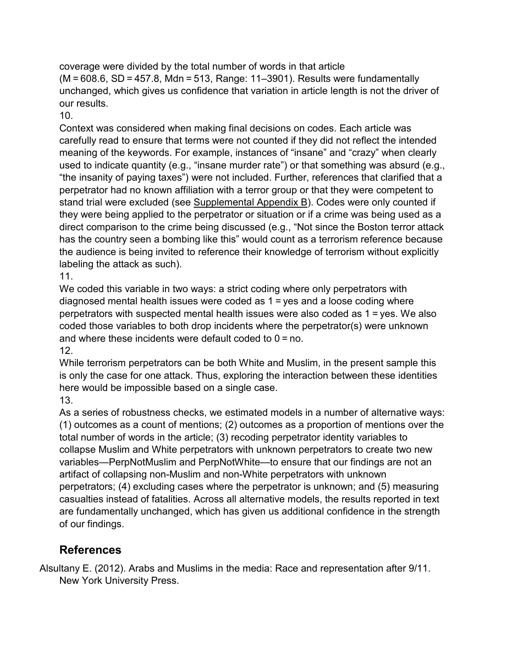coverage were divided by the total number of words in that article (M = 608.6, SD = 457.8, Mdn = 513, Range: 11–3901). Results were fundamentally unchanged, which gives us confidence that variation in article length is not the driver of our results.

10.

Context was considered when making final decisions on codes. Each article was carefully read to ensure that terms were not counted if they did not reflect the intended meaning of the keywords. For example, instances of "insane" and "crazy" when clearly used to indicate quantity (e.g., "insane murder rate") or that something was absurd (e.g., "the insanity of paying taxes") were not included. Further, references that clarified that a perpetrator had no known affiliation with a terror group or that they were competent to stand trial were excluded (see [Supplemental Appendix B\)](https://journals.sagepub.com/doi/suppl/10.1177/0093650220971142). Codes were only counted if they were being applied to the perpetrator or situation or if a crime was being used as a direct comparison to the crime being discussed (e.g., "Not since the Boston terror attack has the country seen a bombing like this" would count as a terrorism reference because the audience is being invited to reference their knowledge of terrorism without explicitly labeling the attack as such).

11.

We coded this variable in two ways: a strict coding where only perpetrators with diagnosed mental health issues were coded as 1 = yes and a loose coding where perpetrators with suspected mental health issues were also coded as 1 = yes. We also coded those variables to both drop incidents where the perpetrator(s) were unknown and where these incidents were default coded to  $0 =$ no. 12.

While terrorism perpetrators can be both White and Muslim, in the present sample this is only the case for one attack. Thus, exploring the interaction between these identities here would be impossible based on a single case. 13.

As a series of robustness checks, we estimated models in a number of alternative ways: (1) outcomes as a count of mentions; (2) outcomes as a proportion of mentions over the total number of words in the article; (3) recoding perpetrator identity variables to collapse Muslim and White perpetrators with unknown perpetrators to create two new variables—PerpNotMuslim and PerpNotWhite—to ensure that our findings are not an artifact of collapsing non-Muslim and non-White perpetrators with unknown perpetrators; (4) excluding cases where the perpetrator is unknown; and (5) measuring casualties instead of fatalities. Across all alternative models, the results reported in text are fundamentally unchanged, which has given us additional confidence in the strength of our findings.

## **References**

Alsultany E. (2012). Arabs and Muslims in the media: Race and representation after 9/11. New York University Press.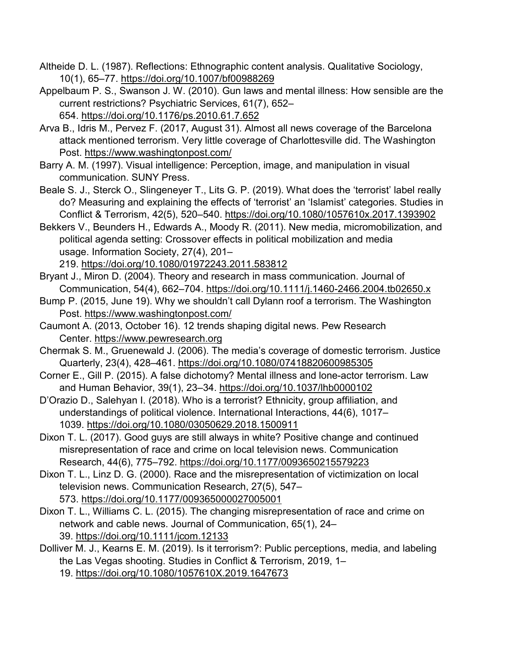- Altheide D. L. (1987). Reflections: Ethnographic content analysis. Qualitative Sociology, 10(1), 65–77. <https://doi.org/10.1007/bf00988269>
- Appelbaum P. S., Swanson J. W. (2010). Gun laws and mental illness: How sensible are the current restrictions? Psychiatric Services, 61(7), 652– 654. <https://doi.org/10.1176/ps.2010.61.7.652>
- Arva B., Idris M., Pervez F. (2017, August 31). Almost all news coverage of the Barcelona attack mentioned terrorism. Very little coverage of Charlottesville did. The Washington Post.<https://www.washingtonpost.com/>
- Barry A. M. (1997). Visual intelligence: Perception, image, and manipulation in visual communication. SUNY Press.
- Beale S. J., Sterck O., Slingeneyer T., Lits G. P. (2019). What does the 'terrorist' label really do? Measuring and explaining the effects of 'terrorist' an 'Islamist' categories. Studies in Conflict & Terrorism, 42(5), 520–540. <https://doi.org/10.1080/1057610x.2017.1393902>
- Bekkers V., Beunders H., Edwards A., Moody R. (2011). New media, micromobilization, and political agenda setting: Crossover effects in political mobilization and media usage. Information Society, 27(4), 201–

219. <https://doi.org/10.1080/01972243.2011.583812>

- Bryant J., Miron D. (2004). Theory and research in mass communication. Journal of Communication, 54(4), 662–704. <https://doi.org/10.1111/j.1460-2466.2004.tb02650.x>
- Bump P. (2015, June 19). Why we shouldn't call Dylann roof a terrorism. The Washington Post.<https://www.washingtonpost.com/>
- Caumont A. (2013, October 16). 12 trends shaping digital news. Pew Research Center. [https://www.pewresearch.org](https://www.pewresearch.org/)
- Chermak S. M., Gruenewald J. (2006). The media's coverage of domestic terrorism. Justice Quarterly, 23(4), 428–461. <https://doi.org/10.1080/07418820600985305>
- Corner E., Gill P. (2015). A false dichotomy? Mental illness and lone-actor terrorism. Law and Human Behavior, 39(1), 23–34. <https://doi.org/10.1037/lhb0000102>
- D'Orazio D., Salehyan I. (2018). Who is a terrorist? Ethnicity, group affiliation, and understandings of political violence. International Interactions, 44(6), 1017– 1039. <https://doi.org/10.1080/03050629.2018.1500911>
- Dixon T. L. (2017). Good guys are still always in white? Positive change and continued misrepresentation of race and crime on local television news. Communication Research, 44(6), 775–792. <https://doi.org/10.1177/0093650215579223>
- Dixon T. L., Linz D. G. (2000). Race and the misrepresentation of victimization on local television news. Communication Research, 27(5), 547– 573. <https://doi.org/10.1177/009365000027005001>
- Dixon T. L., Williams C. L. (2015). The changing misrepresentation of race and crime on network and cable news. Journal of Communication, 65(1), 24– 39. <https://doi.org/10.1111/jcom.12133>
- Dolliver M. J., Kearns E. M. (2019). Is it terrorism?: Public perceptions, media, and labeling the Las Vegas shooting. Studies in Conflict & Terrorism, 2019, 1–
	- 19. <https://doi.org/10.1080/1057610X.2019.1647673>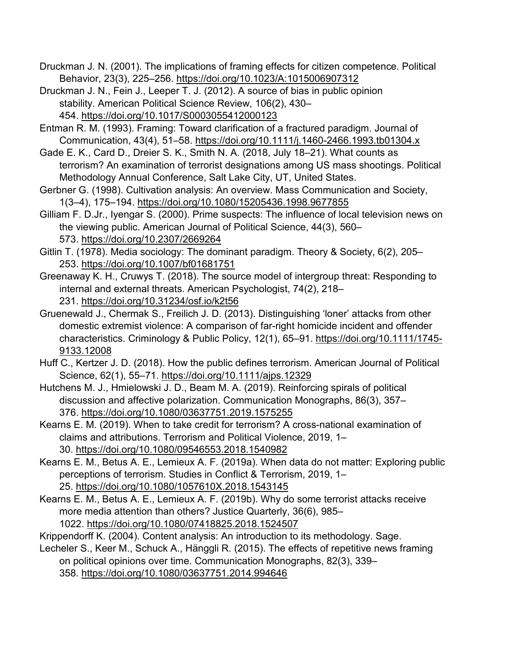Druckman J. N. (2001). The implications of framing effects for citizen competence. Political Behavior, 23(3), 225–256. <https://doi.org/10.1023/A:1015006907312>

Druckman J. N., Fein J., Leeper T. J. (2012). A source of bias in public opinion stability. American Political Science Review, 106(2), 430– 454. <https://doi.org/10.1017/S0003055412000123>

Entman R. M. (1993). Framing: Toward clarification of a fractured paradigm. Journal of Communication, 43(4), 51–58. <https://doi.org/10.1111/j.1460-2466.1993.tb01304.x>

Gade E. K., Card D., Dreier S. K., Smith N. A. (2018, July 18–21). What counts as terrorism? An examination of terrorist designations among US mass shootings. Political Methodology Annual Conference, Salt Lake City, UT, United States.

Gerbner G. (1998). Cultivation analysis: An overview. Mass Communication and Society, 1(3–4), 175–194. <https://doi.org/10.1080/15205436.1998.9677855>

Gilliam F. D.Jr., Iyengar S. (2000). Prime suspects: The influence of local television news on the viewing public. American Journal of Political Science, 44(3), 560– 573. <https://doi.org/10.2307/2669264>

Gitlin T. (1978). Media sociology: The dominant paradigm. Theory & Society, 6(2), 205– 253. <https://doi.org/10.1007/bf01681751>

Greenaway K. H., Cruwys T. (2018). The source model of intergroup threat: Responding to internal and external threats. American Psychologist, 74(2), 218– 231. <https://doi.org/10.31234/osf.io/k2t56>

Gruenewald J., Chermak S., Freilich J. D. (2013). Distinguishing 'loner' attacks from other domestic extremist violence: A comparison of far-right homicide incident and offender characteristics. Criminology & Public Policy, 12(1), 65–91. [https://doi.org/10.1111/1745-](https://doi.org/10.1111/1745-9133.12008) [9133.12008](https://doi.org/10.1111/1745-9133.12008)

Huff C., Kertzer J. D. (2018). How the public defines terrorism. American Journal of Political Science, 62(1), 55–71. <https://doi.org/10.1111/ajps.12329>

Hutchens M. J., Hmielowski J. D., Beam M. A. (2019). Reinforcing spirals of political discussion and affective polarization. Communication Monographs, 86(3), 357– 376. <https://doi.org/10.1080/03637751.2019.1575255>

Kearns E. M. (2019). When to take credit for terrorism? A cross-national examination of claims and attributions. Terrorism and Political Violence, 2019, 1– 30. <https://doi.org/10.1080/09546553.2018.1540982>

Kearns E. M., Betus A. E., Lemieux A. F. (2019a). When data do not matter: Exploring public perceptions of terrorism. Studies in Conflict & Terrorism, 2019, 1– 25. <https://doi.org/10.1080/1057610X.2018.1543145>

Kearns E. M., Betus A. E., Lemieux A. F. (2019b). Why do some terrorist attacks receive more media attention than others? Justice Quarterly, 36(6), 985– 1022. <https://doi.org/10.1080/07418825.2018.1524507>

Krippendorff K. (2004). Content analysis: An introduction to its methodology. Sage.

Lecheler S., Keer M., Schuck A., Hänggli R. (2015). The effects of repetitive news framing on political opinions over time. Communication Monographs, 82(3), 339– 358. <https://doi.org/10.1080/03637751.2014.994646>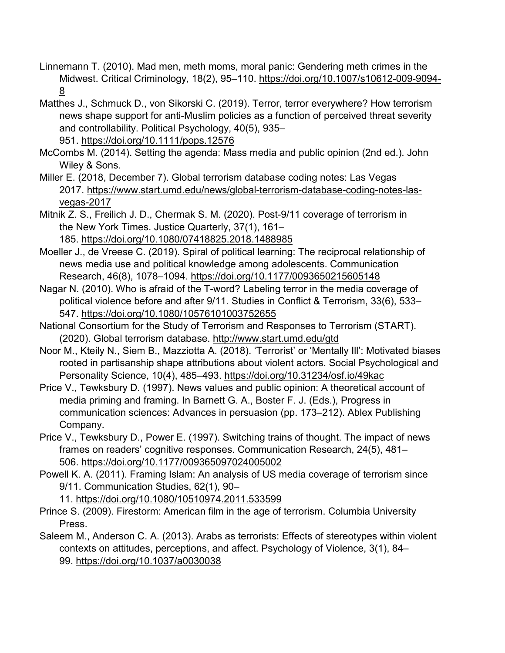- Linnemann T. (2010). Mad men, meth moms, moral panic: Gendering meth crimes in the Midwest. Critical Criminology, 18(2), 95–110. [https://doi.org/10.1007/s10612-009-9094-](https://doi.org/10.1007/s10612-009-9094-8) [8](https://doi.org/10.1007/s10612-009-9094-8)
- Matthes J., Schmuck D., von Sikorski C. (2019). Terror, terror everywhere? How terrorism news shape support for anti-Muslim policies as a function of perceived threat severity and controllability. Political Psychology, 40(5), 935– 951. <https://doi.org/10.1111/pops.12576>
- McCombs M. (2014). Setting the agenda: Mass media and public opinion (2nd ed.). John Wiley & Sons.
- Miller E. (2018, December 7). Global terrorism database coding notes: Las Vegas 2017. [https://www.start.umd.edu/news/global-terrorism-database-coding-notes-las](https://www.start.umd.edu/news/global-terrorism-database-coding-notes-las-vegas-2017)[vegas-2017](https://www.start.umd.edu/news/global-terrorism-database-coding-notes-las-vegas-2017)
- Mitnik Z. S., Freilich J. D., Chermak S. M. (2020). Post-9/11 coverage of terrorism in the New York Times. Justice Quarterly, 37(1), 161– 185. <https://doi.org/10.1080/07418825.2018.1488985>
- Moeller J., de Vreese C. (2019). Spiral of political learning: The reciprocal relationship of news media use and political knowledge among adolescents. Communication Research, 46(8), 1078–1094. <https://doi.org/10.1177/0093650215605148>
- Nagar N. (2010). Who is afraid of the T-word? Labeling terror in the media coverage of political violence before and after 9/11. Studies in Conflict & Terrorism, 33(6), 533– 547. <https://doi.org/10.1080/10576101003752655>
- National Consortium for the Study of Terrorism and Responses to Terrorism (START). (2020). Global terrorism database. <http://www.start.umd.edu/gtd>
- Noor M., Kteily N., Siem B., Mazziotta A. (2018). 'Terrorist' or 'Mentally Ill': Motivated biases rooted in partisanship shape attributions about violent actors. Social Psychological and Personality Science, 10(4), 485-493. <https://doi.org/10.31234/osf.io/49kac>
- Price V., Tewksbury D. (1997). News values and public opinion: A theoretical account of media priming and framing. In Barnett G. A., Boster F. J. (Eds.), Progress in communication sciences: Advances in persuasion (pp. 173–212). Ablex Publishing Company.
- Price V., Tewksbury D., Power E. (1997). Switching trains of thought. The impact of news frames on readers' cognitive responses. Communication Research, 24(5), 481– 506. <https://doi.org/10.1177/009365097024005002>
- Powell K. A. (2011). Framing Islam: An analysis of US media coverage of terrorism since 9/11. Communication Studies, 62(1), 90–

11. <https://doi.org/10.1080/10510974.2011.533599>

- Prince S. (2009). Firestorm: American film in the age of terrorism. Columbia University Press.
- Saleem M., Anderson C. A. (2013). Arabs as terrorists: Effects of stereotypes within violent contexts on attitudes, perceptions, and affect. Psychology of Violence, 3(1), 84– 99. <https://doi.org/10.1037/a0030038>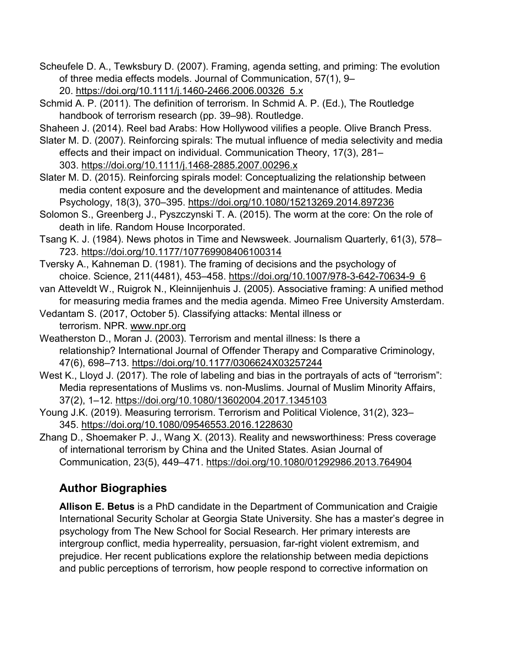- Scheufele D. A., Tewksbury D. (2007). Framing, agenda setting, and priming: The evolution of three media effects models. Journal of Communication, 57(1), 9– 20. [https://doi.org/10.1111/j.1460-2466.2006.00326\\_5.x](https://doi.org/10.1111/j.1460-2466.2006.00326_5.x)
- Schmid A. P. (2011). The definition of terrorism. In Schmid A. P. (Ed.), The Routledge handbook of terrorism research (pp. 39–98). Routledge.
- Shaheen J. (2014). Reel bad Arabs: How Hollywood vilifies a people. Olive Branch Press.
- Slater M. D. (2007). Reinforcing spirals: The mutual influence of media selectivity and media effects and their impact on individual. Communication Theory, 17(3), 281– 303. <https://doi.org/10.1111/j.1468-2885.2007.00296.x>
- Slater M. D. (2015). Reinforcing spirals model: Conceptualizing the relationship between media content exposure and the development and maintenance of attitudes. Media Psychology, 18(3), 370–395. <https://doi.org/10.1080/15213269.2014.897236>
- Solomon S., Greenberg J., Pyszczynski T. A. (2015). The worm at the core: On the role of death in life. Random House Incorporated.
- Tsang K. J. (1984). News photos in Time and Newsweek. Journalism Quarterly, 61(3), 578– 723. <https://doi.org/10.1177/107769908406100314>
- Tversky A., Kahneman D. (1981). The framing of decisions and the psychology of choice. Science, 211(4481), 453–458. [https://doi.org/10.1007/978-3-642-70634-9\\_6](https://doi.org/10.1007/978-3-642-70634-9_6)
- van Atteveldt W., Ruigrok N., Kleinnijenhuis J. (2005). Associative framing: A unified method for measuring media frames and the media agenda. Mimeo Free University Amsterdam.
- Vedantam S. (2017, October 5). Classifying attacks: Mental illness or terrorism. NPR. [www.npr.org](http://www.npr.org/)
- Weatherston D., Moran J. (2003). Terrorism and mental illness: Is there a relationship? International Journal of Offender Therapy and Comparative Criminology, 47(6), 698–713. <https://doi.org/10.1177/0306624X03257244>
- West K., Lloyd J. (2017). The role of labeling and bias in the portrayals of acts of "terrorism": Media representations of Muslims vs. non-Muslims. Journal of Muslim Minority Affairs, 37(2), 1–12. <https://doi.org/10.1080/13602004.2017.1345103>
- Young J.K. (2019). Measuring terrorism. Terrorism and Political Violence, 31(2), 323– 345. <https://doi.org/10.1080/09546553.2016.1228630>
- Zhang D., Shoemaker P. J., Wang X. (2013). Reality and newsworthiness: Press coverage of international terrorism by China and the United States. Asian Journal of Communication, 23(5), 449–471. <https://doi.org/10.1080/01292986.2013.764904>

## **Author Biographies**

**Allison E. Betus** is a PhD candidate in the Department of Communication and Craigie International Security Scholar at Georgia State University. She has a master's degree in psychology from The New School for Social Research. Her primary interests are intergroup conflict, media hyperreality, persuasion, far-right violent extremism, and prejudice. Her recent publications explore the relationship between media depictions and public perceptions of terrorism, how people respond to corrective information on